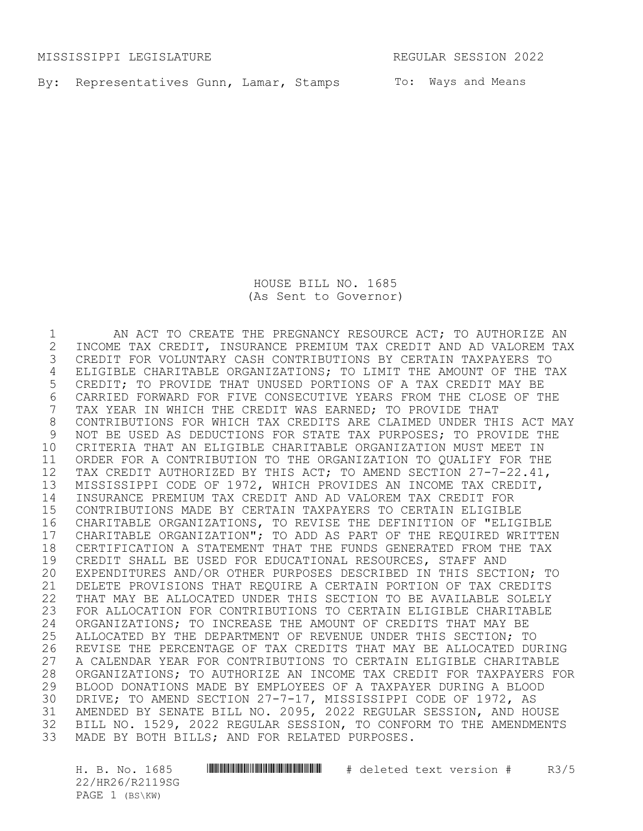MISSISSIPPI LEGISLATURE REGULAR SESSION 2022

By: Representatives Gunn, Lamar, Stamps To: Ways and Means

HOUSE BILL NO. 1685 (As Sent to Governor)

1 THE PREGNANCY RESOURCE ACT; TO AUTHORIZE AN ACT TO CREATE THE PREGNANCY RESOURCE ACT; TO AUTHORIZE AN 12. 2 INCOME TAX CREDIT, INSURANCE PREMIUM TAX CREDIT AND AD VALOREM TAX<br>3 CREDIT FOR VOLUNTARY CASH CONTRIBUTIONS BY CERTAIN TAXPAYERS TO CREDIT FOR VOLUNTARY CASH CONTRIBUTIONS BY CERTAIN TAXPAYERS TO ELIGIBLE CHARITABLE ORGANIZATIONS; TO LIMIT THE AMOUNT OF THE TAX CREDIT; TO PROVIDE THAT UNUSED PORTIONS OF A TAX CREDIT MAY BE 6 CARRIED FORWARD FOR FIVE CONSECUTIVE YEARS FROM THE CLOSE OF THE 7 THE CREDIT WAS EARNED: TO PROVIDE THAT TAX YEAR IN WHICH THE CREDIT WAS EARNED; TO PROVIDE THAT CONTRIBUTIONS FOR WHICH TAX CREDITS ARE CLAIMED UNDER THIS ACT MAY NOT BE USED AS DEDUCTIONS FOR STATE TAX PURPOSES; TO PROVIDE THE CRITERIA THAT AN ELIGIBLE CHARITABLE ORGANIZATION MUST MEET IN ORDER FOR A CONTRIBUTION TO THE ORGANIZATION TO QUALIFY FOR THE TAX CREDIT AUTHORIZED BY THIS ACT; TO AMEND SECTION 27-7-22.41, MISSISSIPPI CODE OF 1972, WHICH PROVIDES AN INCOME TAX CREDIT, INSURANCE PREMIUM TAX CREDIT AND AD VALOREM TAX CREDIT FOR CONTRIBUTIONS MADE BY CERTAIN TAXPAYERS TO CERTAIN ELIGIBLE CHARITABLE ORGANIZATIONS, TO REVISE THE DEFINITION OF "ELIGIBLE 17 CHARITABLE ORGANIZATION"; TO ADD AS PART OF THE REQUIRED WRITTEN<br>18 CERTIFICATION A STATEMENT THAT THE FUNDS GENERATED FROM THE TAX 18 CERTIFICATION A STATEMENT THAT THE FUNDS GENERATED FROM THE TAX<br>19 CREDIT SHALL BE USED FOR EDUCATIONAL RESOURCES, STAFF AND 19 CREDIT SHALL BE USED FOR EDUCATIONAL RESOURCES, STAFF AND<br>20 EXPENDITURES AND/OR OTHER PURPOSES DESCRIBED IN THIS SECT EXPENDITURES AND/OR OTHER PURPOSES DESCRIBED IN THIS SECTION; TO DELETE PROVISIONS THAT REQUIRE A CERTAIN PORTION OF TAX CREDITS THAT MAY BE ALLOCATED UNDER THIS SECTION TO BE AVAILABLE SOLELY FOR ALLOCATION FOR CONTRIBUTIONS TO CERTAIN ELIGIBLE CHARITABLE 24 ORGANIZATIONS; TO INCREASE THE AMOUNT OF CREDITS THAT MAY BE<br>25 ALLOCATED BY THE DEPARTMENT OF REVENUE UNDER THIS SECTION; T ALLOCATED BY THE DEPARTMENT OF REVENUE UNDER THIS SECTION; TO REVISE THE PERCENTAGE OF TAX CREDITS THAT MAY BE ALLOCATED DURING A CALENDAR YEAR FOR CONTRIBUTIONS TO CERTAIN ELIGIBLE CHARITABLE 28 ORGANIZATIONS; TO AUTHORIZE AN INCOME TAX CREDIT FOR TAXPAYERS FOR<br>29 BLOOD DONATIONS MADE BY EMPLOYEES OF A TAXPAYER DURING A BLOOD BLOOD DONATIONS MADE BY EMPLOYEES OF A TAXPAYER DURING A BLOOD DRIVE; TO AMEND SECTION 27-7-17, MISSISSIPPI CODE OF 1972, AS AMENDED BY SENATE BILL NO. 2095, 2022 REGULAR SESSION, AND HOUSE 32 BILL NO. 1529, 2022 REGULAR SESSION, TO CONFORM TO THE AMENDMENTS<br>33 MADE BY BOTH BILLS; AND FOR RELATED PURPOSES. MADE BY BOTH BILLS; AND FOR RELATED PURPOSES.

H. B. No. 1685 \*HR26/R2119SG\* # deleted text version # R3/5 22/HR26/R2119SG PAGE 1 (BS\KW)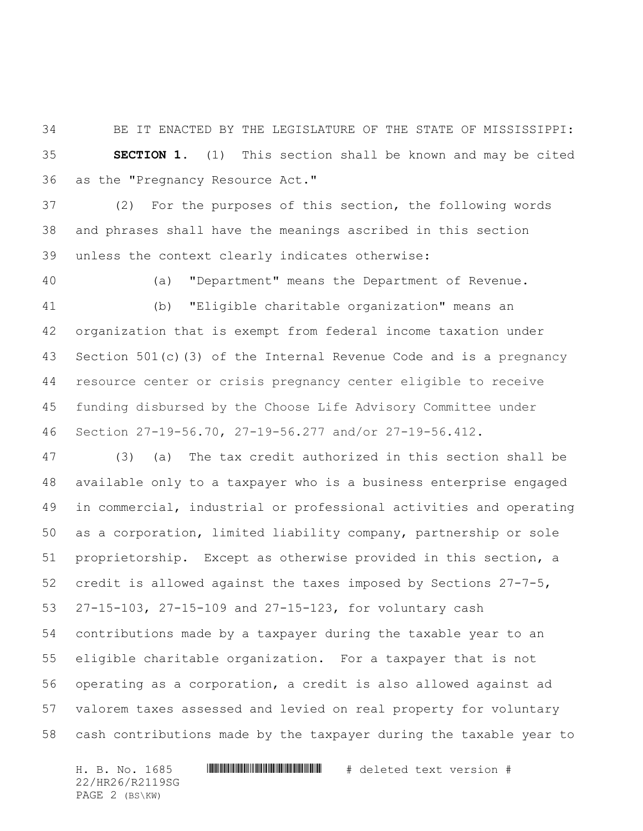BE IT ENACTED BY THE LEGISLATURE OF THE STATE OF MISSISSIPPI: **SECTION 1.** (1) This section shall be known and may be cited as the "Pregnancy Resource Act."

 (2) For the purposes of this section, the following words and phrases shall have the meanings ascribed in this section unless the context clearly indicates otherwise:

(a) "Department" means the Department of Revenue.

 (b) "Eligible charitable organization" means an organization that is exempt from federal income taxation under Section 501(c)(3) of the Internal Revenue Code and is a pregnancy resource center or crisis pregnancy center eligible to receive funding disbursed by the Choose Life Advisory Committee under Section 27-19-56.70, 27-19-56.277 and/or 27-19-56.412.

 (3) (a) The tax credit authorized in this section shall be available only to a taxpayer who is a business enterprise engaged in commercial, industrial or professional activities and operating as a corporation, limited liability company, partnership or sole proprietorship. Except as otherwise provided in this section, a credit is allowed against the taxes imposed by Sections 27-7-5, 27-15-103, 27-15-109 and 27-15-123, for voluntary cash contributions made by a taxpayer during the taxable year to an eligible charitable organization. For a taxpayer that is not operating as a corporation, a credit is also allowed against ad valorem taxes assessed and levied on real property for voluntary cash contributions made by the taxpayer during the taxable year to

H. B. No. 1685 \*HR26/R2119SG\* # deleted text version # 22/HR26/R2119SG PAGE 2 (BS\KW)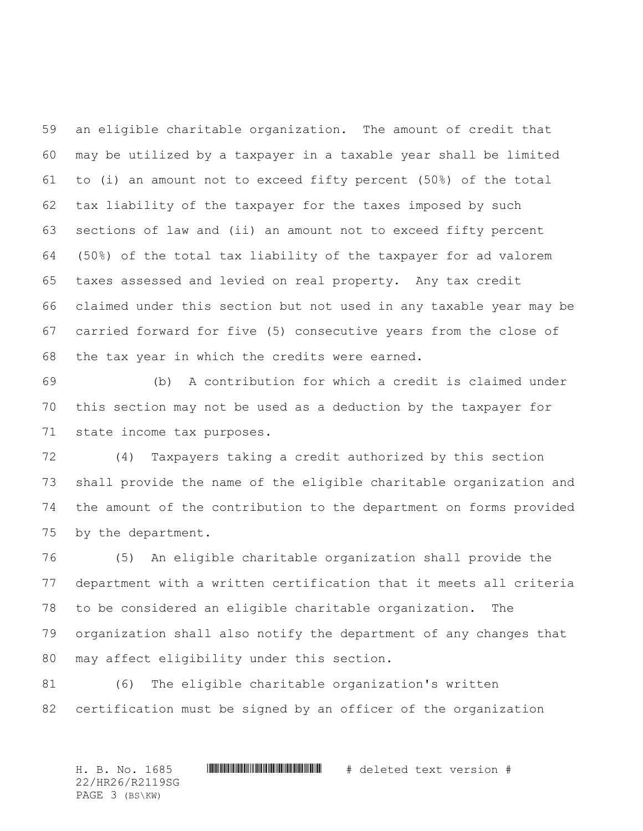an eligible charitable organization. The amount of credit that may be utilized by a taxpayer in a taxable year shall be limited to (i) an amount not to exceed fifty percent (50%) of the total tax liability of the taxpayer for the taxes imposed by such sections of law and (ii) an amount not to exceed fifty percent (50%) of the total tax liability of the taxpayer for ad valorem taxes assessed and levied on real property. Any tax credit claimed under this section but not used in any taxable year may be carried forward for five (5) consecutive years from the close of the tax year in which the credits were earned.

 (b) A contribution for which a credit is claimed under this section may not be used as a deduction by the taxpayer for state income tax purposes.

 (4) Taxpayers taking a credit authorized by this section shall provide the name of the eligible charitable organization and the amount of the contribution to the department on forms provided by the department.

 (5) An eligible charitable organization shall provide the department with a written certification that it meets all criteria to be considered an eligible charitable organization. The organization shall also notify the department of any changes that may affect eligibility under this section.

 (6) The eligible charitable organization's written certification must be signed by an officer of the organization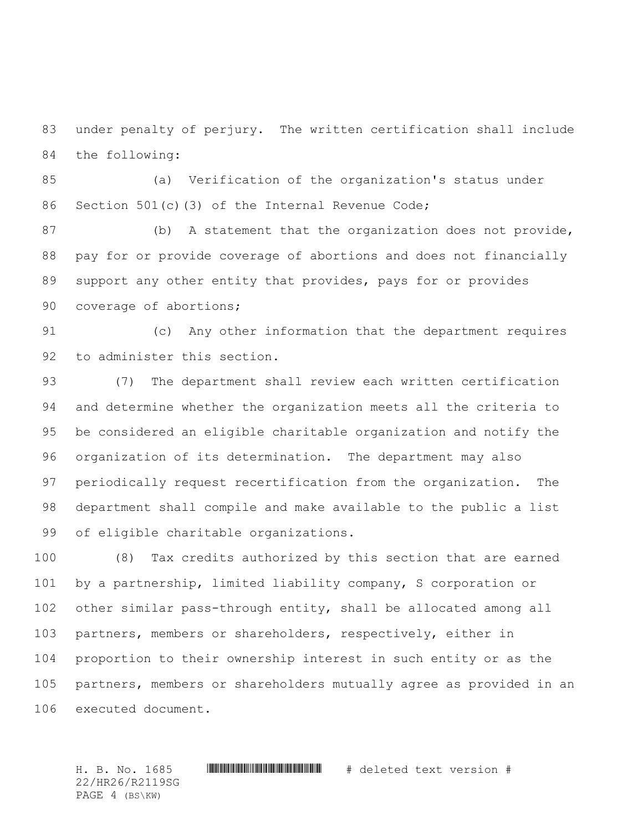under penalty of perjury. The written certification shall include the following:

 (a) Verification of the organization's status under 86 Section 501(c)(3) of the Internal Revenue Code;

 (b) A statement that the organization does not provide, pay for or provide coverage of abortions and does not financially support any other entity that provides, pays for or provides 90 coverage of abortions;

 (c) Any other information that the department requires to administer this section.

 (7) The department shall review each written certification and determine whether the organization meets all the criteria to be considered an eligible charitable organization and notify the organization of its determination. The department may also periodically request recertification from the organization. The department shall compile and make available to the public a list of eligible charitable organizations.

 (8) Tax credits authorized by this section that are earned by a partnership, limited liability company, S corporation or other similar pass-through entity, shall be allocated among all partners, members or shareholders, respectively, either in proportion to their ownership interest in such entity or as the partners, members or shareholders mutually agree as provided in an executed document.

H. B. No. 1685 \*HR26/R2119SG\* # deleted text version # 22/HR26/R2119SG PAGE 4 (BS\KW)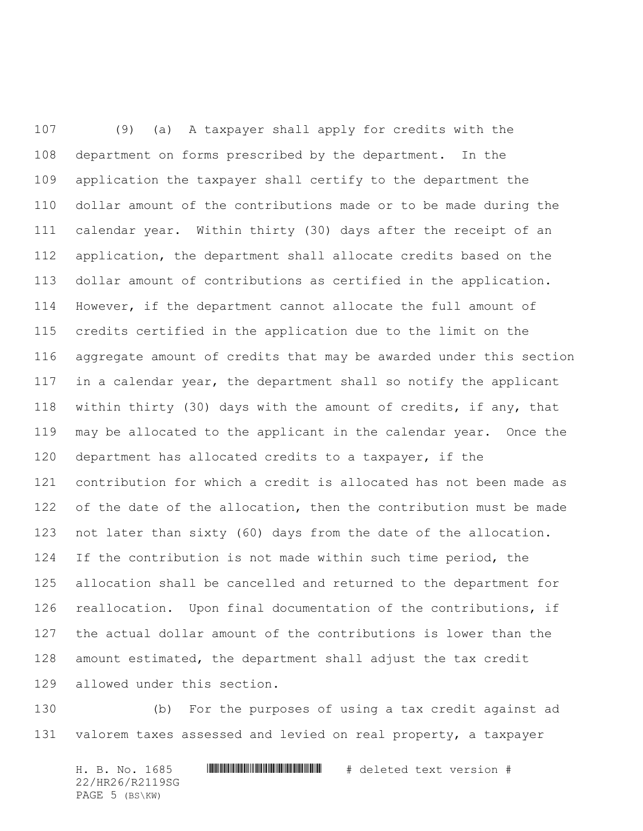(9) (a) A taxpayer shall apply for credits with the department on forms prescribed by the department. In the application the taxpayer shall certify to the department the dollar amount of the contributions made or to be made during the calendar year. Within thirty (30) days after the receipt of an application, the department shall allocate credits based on the dollar amount of contributions as certified in the application. However, if the department cannot allocate the full amount of credits certified in the application due to the limit on the aggregate amount of credits that may be awarded under this section 117 in a calendar year, the department shall so notify the applicant within thirty (30) days with the amount of credits, if any, that may be allocated to the applicant in the calendar year. Once the department has allocated credits to a taxpayer, if the contribution for which a credit is allocated has not been made as 122 of the date of the allocation, then the contribution must be made not later than sixty (60) days from the date of the allocation. If the contribution is not made within such time period, the allocation shall be cancelled and returned to the department for reallocation. Upon final documentation of the contributions, if the actual dollar amount of the contributions is lower than the amount estimated, the department shall adjust the tax credit allowed under this section.

 (b) For the purposes of using a tax credit against ad valorem taxes assessed and levied on real property, a taxpayer

H. B. No. 1685 \*HR26/R2119SG\* # deleted text version # 22/HR26/R2119SG PAGE 5 (BS\KW)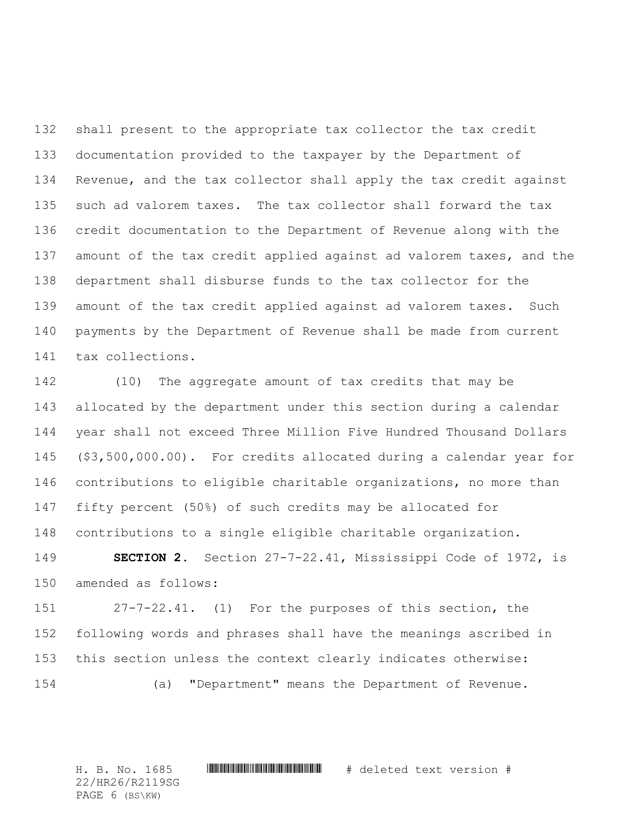shall present to the appropriate tax collector the tax credit documentation provided to the taxpayer by the Department of Revenue, and the tax collector shall apply the tax credit against such ad valorem taxes. The tax collector shall forward the tax credit documentation to the Department of Revenue along with the amount of the tax credit applied against ad valorem taxes, and the department shall disburse funds to the tax collector for the amount of the tax credit applied against ad valorem taxes. Such payments by the Department of Revenue shall be made from current tax collections.

 (10) The aggregate amount of tax credits that may be allocated by the department under this section during a calendar year shall not exceed Three Million Five Hundred Thousand Dollars (\$3,500,000.00). For credits allocated during a calendar year for contributions to eligible charitable organizations, no more than fifty percent (50%) of such credits may be allocated for contributions to a single eligible charitable organization.

 **SECTION 2.** Section 27-7-22.41, Mississippi Code of 1972, is amended as follows:

 27-7-22.41. (1) For the purposes of this section, the following words and phrases shall have the meanings ascribed in this section unless the context clearly indicates otherwise: (a) "Department" means the Department of Revenue.

H. B. No. 1685 \*HR26/R2119SG\* # deleted text version # 22/HR26/R2119SG PAGE 6 (BS\KW)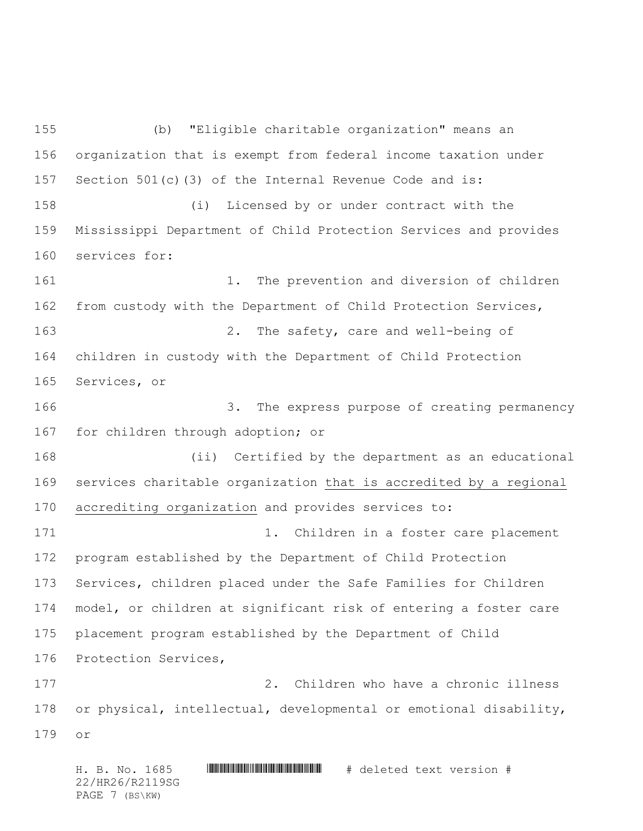(b) "Eligible charitable organization" means an organization that is exempt from federal income taxation under Section 501(c)(3) of the Internal Revenue Code and is: (i) Licensed by or under contract with the Mississippi Department of Child Protection Services and provides services for: 161 1. The prevention and diversion of children from custody with the Department of Child Protection Services, 2. The safety, care and well-being of children in custody with the Department of Child Protection Services, or 3. The express purpose of creating permanency for children through adoption; or (ii) Certified by the department as an educational services charitable organization that is accredited by a regional accrediting organization and provides services to: 171 1. Children in a foster care placement program established by the Department of Child Protection Services, children placed under the Safe Families for Children model, or children at significant risk of entering a foster care placement program established by the Department of Child Protection Services, 2. Children who have a chronic illness or physical, intellectual, developmental or emotional disability, or

H. B. No. 1685 \*HR26/R2119SG\* # deleted text version # 22/HR26/R2119SG PAGE 7 (BS\KW)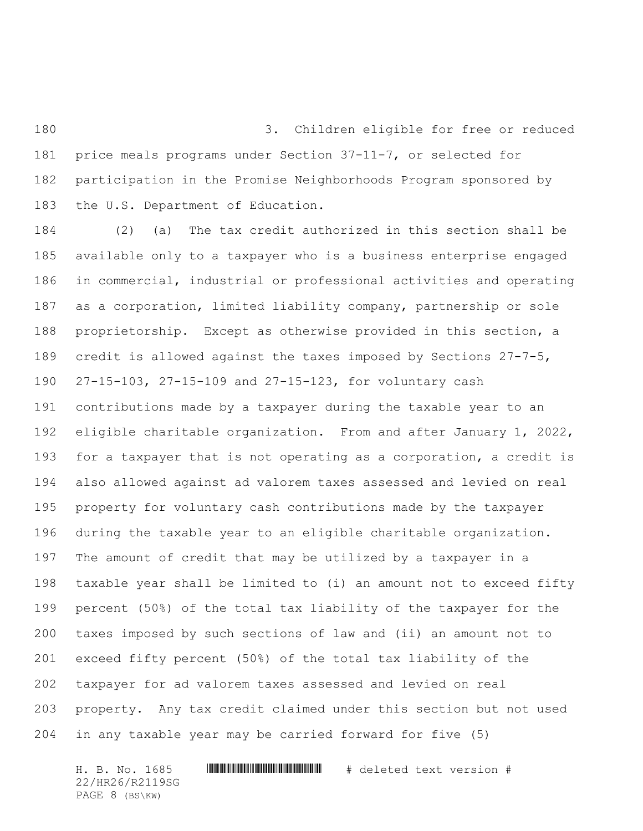3. Children eligible for free or reduced price meals programs under Section 37-11-7, or selected for participation in the Promise Neighborhoods Program sponsored by 183 the U.S. Department of Education.

 (2) (a) The tax credit authorized in this section shall be available only to a taxpayer who is a business enterprise engaged in commercial, industrial or professional activities and operating as a corporation, limited liability company, partnership or sole proprietorship. Except as otherwise provided in this section, a credit is allowed against the taxes imposed by Sections 27-7-5, 27-15-103, 27-15-109 and 27-15-123, for voluntary cash contributions made by a taxpayer during the taxable year to an eligible charitable organization. From and after January 1, 2022, for a taxpayer that is not operating as a corporation, a credit is also allowed against ad valorem taxes assessed and levied on real property for voluntary cash contributions made by the taxpayer during the taxable year to an eligible charitable organization. The amount of credit that may be utilized by a taxpayer in a taxable year shall be limited to (i) an amount not to exceed fifty percent (50%) of the total tax liability of the taxpayer for the taxes imposed by such sections of law and (ii) an amount not to exceed fifty percent (50%) of the total tax liability of the taxpayer for ad valorem taxes assessed and levied on real property. Any tax credit claimed under this section but not used in any taxable year may be carried forward for five (5)

H. B. No. 1685 \*HR26/R2119SG\* # deleted text version # 22/HR26/R2119SG PAGE 8 (BS\KW)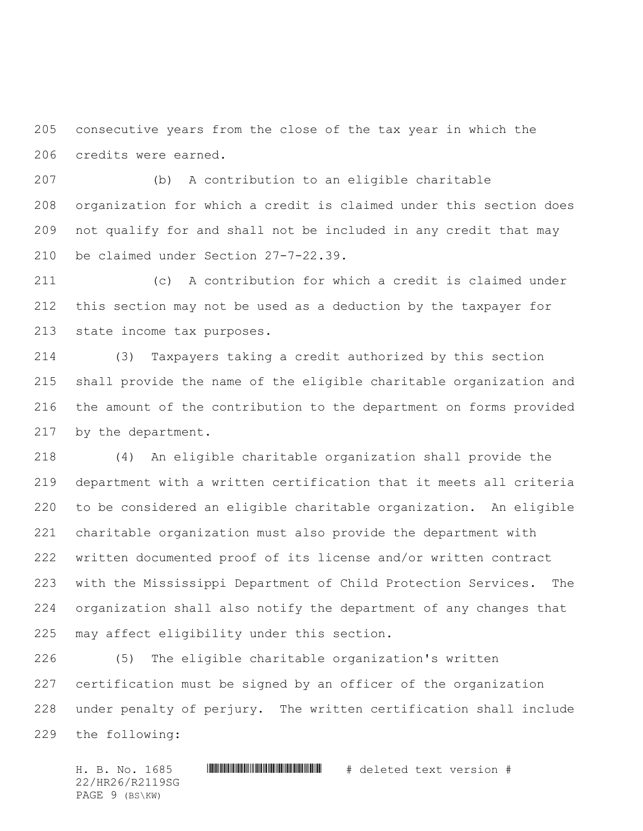consecutive years from the close of the tax year in which the credits were earned.

 (b) A contribution to an eligible charitable organization for which a credit is claimed under this section does not qualify for and shall not be included in any credit that may be claimed under Section 27-7-22.39.

 (c) A contribution for which a credit is claimed under this section may not be used as a deduction by the taxpayer for state income tax purposes.

 (3) Taxpayers taking a credit authorized by this section shall provide the name of the eligible charitable organization and the amount of the contribution to the department on forms provided by the department.

 (4) An eligible charitable organization shall provide the department with a written certification that it meets all criteria to be considered an eligible charitable organization. An eligible charitable organization must also provide the department with written documented proof of its license and/or written contract with the Mississippi Department of Child Protection Services. The organization shall also notify the department of any changes that may affect eligibility under this section.

 (5) The eligible charitable organization's written certification must be signed by an officer of the organization under penalty of perjury. The written certification shall include the following:

H. B. No. 1685 \*HR26/R2119SG\* # deleted text version # 22/HR26/R2119SG PAGE 9 (BS\KW)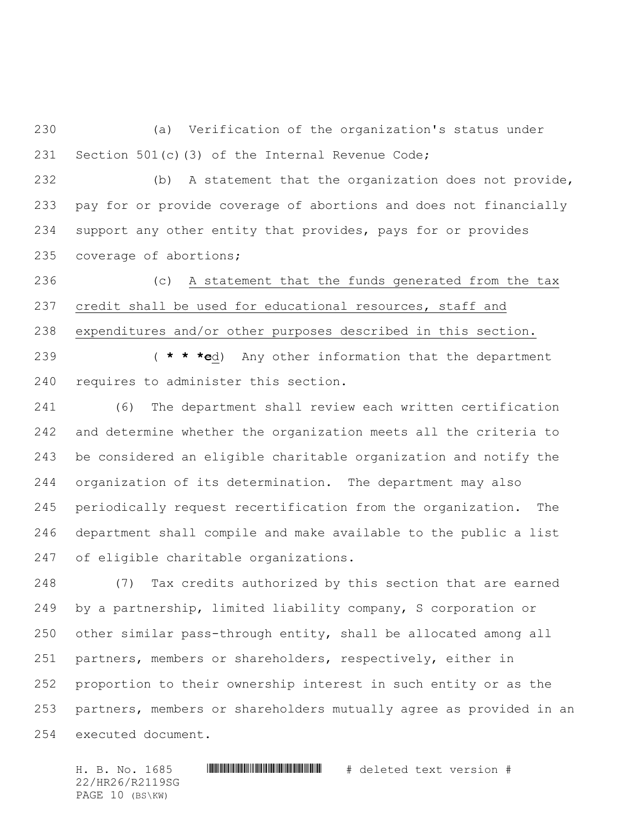(a) Verification of the organization's status under 231 Section 501(c)(3) of the Internal Revenue Code;

 (b) A statement that the organization does not provide, pay for or provide coverage of abortions and does not financially support any other entity that provides, pays for or provides coverage of abortions;

 (c) A statement that the funds generated from the tax credit shall be used for educational resources, staff and expenditures and/or other purposes described in this section.

 ( **\* \* \*c**d) Any other information that the department requires to administer this section.

 (6) The department shall review each written certification and determine whether the organization meets all the criteria to be considered an eligible charitable organization and notify the organization of its determination. The department may also periodically request recertification from the organization. The department shall compile and make available to the public a list of eligible charitable organizations.

 (7) Tax credits authorized by this section that are earned by a partnership, limited liability company, S corporation or other similar pass-through entity, shall be allocated among all partners, members or shareholders, respectively, either in proportion to their ownership interest in such entity or as the partners, members or shareholders mutually agree as provided in an executed document.

H. B. No. 1685 \*HR26/R2119SG\* # deleted text version # 22/HR26/R2119SG PAGE 10 (BS\KW)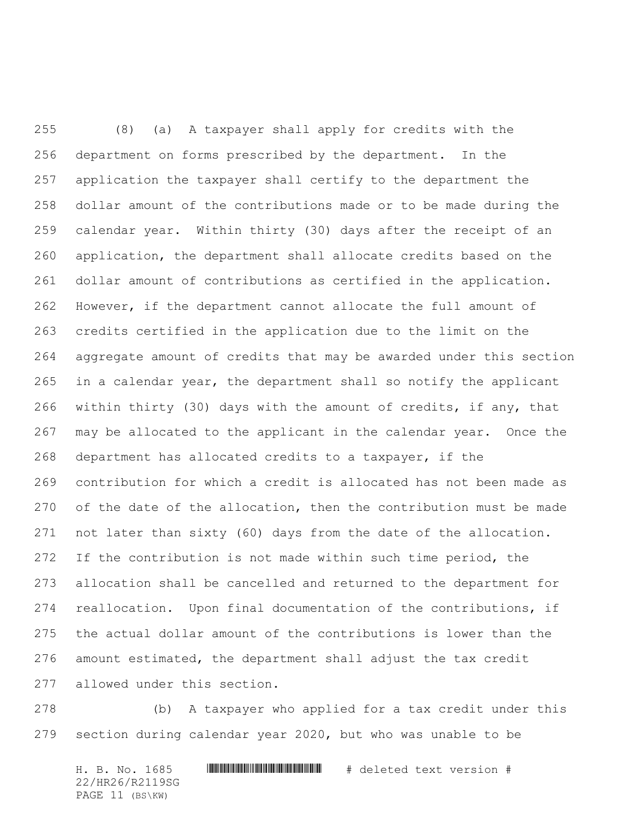(8) (a) A taxpayer shall apply for credits with the department on forms prescribed by the department. In the application the taxpayer shall certify to the department the dollar amount of the contributions made or to be made during the calendar year. Within thirty (30) days after the receipt of an application, the department shall allocate credits based on the dollar amount of contributions as certified in the application. However, if the department cannot allocate the full amount of credits certified in the application due to the limit on the aggregate amount of credits that may be awarded under this section in a calendar year, the department shall so notify the applicant within thirty (30) days with the amount of credits, if any, that may be allocated to the applicant in the calendar year. Once the department has allocated credits to a taxpayer, if the contribution for which a credit is allocated has not been made as of the date of the allocation, then the contribution must be made not later than sixty (60) days from the date of the allocation. If the contribution is not made within such time period, the allocation shall be cancelled and returned to the department for reallocation. Upon final documentation of the contributions, if the actual dollar amount of the contributions is lower than the amount estimated, the department shall adjust the tax credit allowed under this section.

 (b) A taxpayer who applied for a tax credit under this section during calendar year 2020, but who was unable to be

H. B. No. 1685 \*HR26/R2119SG\* # deleted text version # 22/HR26/R2119SG PAGE 11 (BS\KW)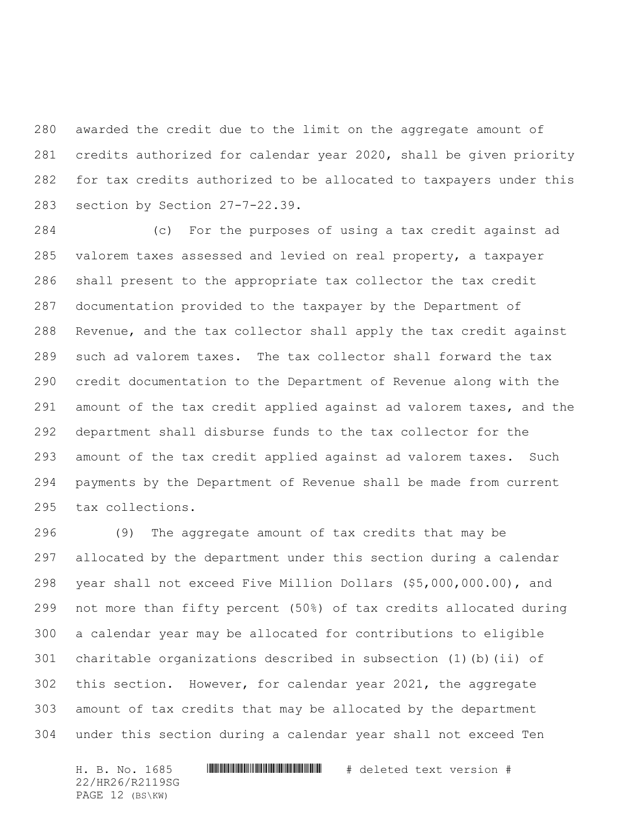awarded the credit due to the limit on the aggregate amount of credits authorized for calendar year 2020, shall be given priority for tax credits authorized to be allocated to taxpayers under this section by Section 27-7-22.39.

 (c) For the purposes of using a tax credit against ad valorem taxes assessed and levied on real property, a taxpayer shall present to the appropriate tax collector the tax credit documentation provided to the taxpayer by the Department of Revenue, and the tax collector shall apply the tax credit against such ad valorem taxes. The tax collector shall forward the tax credit documentation to the Department of Revenue along with the amount of the tax credit applied against ad valorem taxes, and the department shall disburse funds to the tax collector for the amount of the tax credit applied against ad valorem taxes. Such payments by the Department of Revenue shall be made from current tax collections.

 (9) The aggregate amount of tax credits that may be allocated by the department under this section during a calendar year shall not exceed Five Million Dollars (\$5,000,000.00), and not more than fifty percent (50%) of tax credits allocated during a calendar year may be allocated for contributions to eligible charitable organizations described in subsection (1)(b)(ii) of this section. However, for calendar year 2021, the aggregate amount of tax credits that may be allocated by the department under this section during a calendar year shall not exceed Ten

H. B. No. 1685 \*HR26/R2119SG\* # deleted text version # 22/HR26/R2119SG PAGE 12 (BS\KW)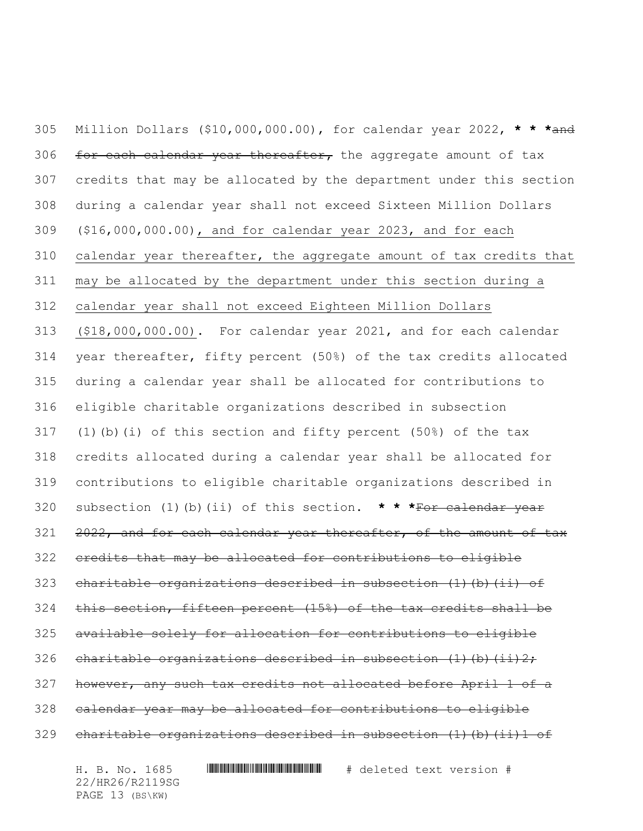Million Dollars (\$10,000,000.00), for calendar year 2022, **\* \* \***and for each calendar year thereafter**,** the aggregate amount of tax credits that may be allocated by the department under this section during a calendar year shall not exceed Sixteen Million Dollars (\$16,000,000.00), and for calendar year 2023, and for each calendar year thereafter, the aggregate amount of tax credits that may be allocated by the department under this section during a calendar year shall not exceed Eighteen Million Dollars (\$18,000,000.00). For calendar year 2021, and for each calendar year thereafter, fifty percent (50%) of the tax credits allocated during a calendar year shall be allocated for contributions to eligible charitable organizations described in subsection (1)(b)(i) of this section and fifty percent (50%) of the tax credits allocated during a calendar year shall be allocated for contributions to eligible charitable organizations described in subsection (1)(b)(ii) of this section. **\* \* \***For calendar year 321 2022, and for each calendar year thereafter, of the amount of tax credits that may be allocated for contributions to eligible charitable organizations described in subsection (1)(b)(ii) of this section, fifteen percent (15%) of the tax credits shall be available solely for allocation for contributions to eligible 326 charitable organizations described in subsection  $(1)$  (b)  $(i,i)$  2; 327 however, any such tax credits not allocated before April 1 of a calendar year may be allocated for contributions to eligible charitable organizations described in subsection (1)(b)(ii)1 of

H. B. No. 1685 \*HR26/R2119SG\* # deleted text version # 22/HR26/R2119SG PAGE 13 (BS\KW)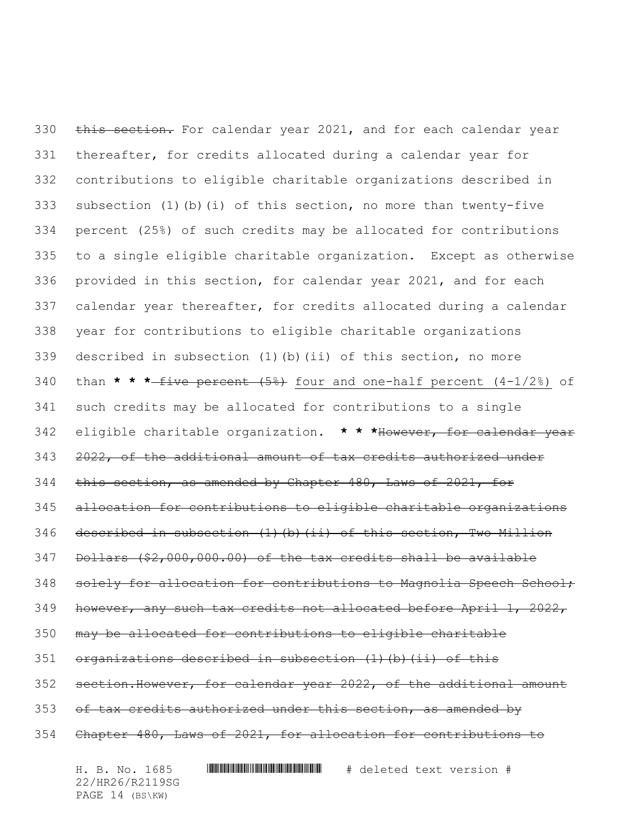330 this section. For calendar year 2021, and for each calendar year thereafter, for credits allocated during a calendar year for contributions to eligible charitable organizations described in subsection (1)(b)(i) of this section, no more than twenty-five percent (25%) of such credits may be allocated for contributions to a single eligible charitable organization. Except as otherwise provided in this section, for calendar year 2021, and for each calendar year thereafter, for credits allocated during a calendar year for contributions to eligible charitable organizations described in subsection (1)(b)(ii) of this section, no more than **\* \* \*** five percent (5%) four and one-half percent (4-1/2%) of such credits may be allocated for contributions to a single eligible charitable organization. **\* \* \***However, for calendar year 2022, of the additional amount of tax credits authorized under 344 this section, as amended by Chapter 480, Laws of 2021, for allocation for contributions to eligible charitable organizations described in subsection (1)(b)(ii) of this section, Two Million Dollars (\$2,000,000.00) of the tax credits shall be available 348 solely for allocation for contributions to Magnolia Speech School; 349 however, any such tax credits not allocated before April 1, 2022, may be allocated for contributions to eligible charitable organizations described in subsection  $(1)$  (b)  $(ii)$  of this section.However, for calendar year 2022, of the additional amount 353 of tax credits authorized under this section, as amended by Chapter 480, Laws of 2021, for allocation for contributions to

H. B. No. 1685 \*HR26/R2119SG\* # deleted text version # 22/HR26/R2119SG PAGE 14 (BS\KW)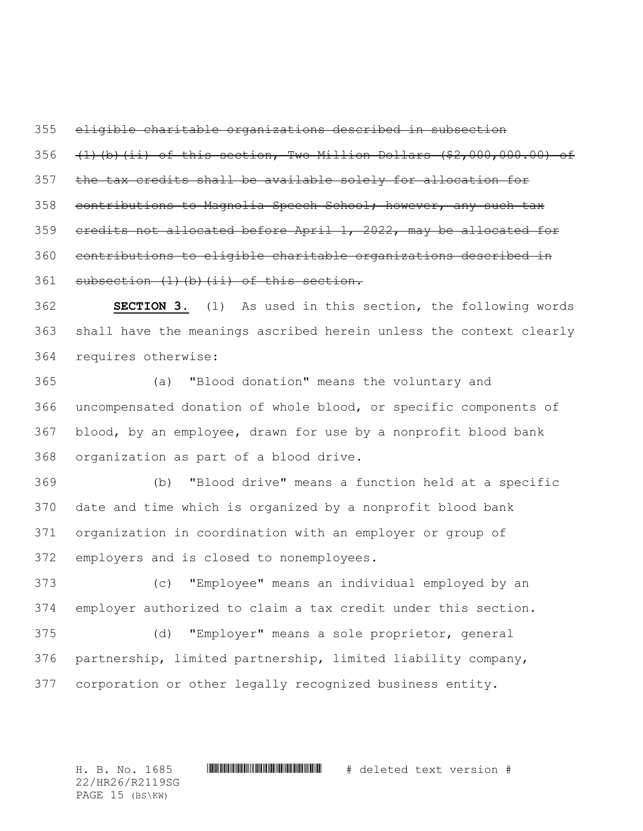eligible charitable organizations described in subsection

 (1)(b)(ii) of this section, Two Million Dollars (\$2,000,000.00) of the tax credits shall be available solely for allocation for 358 contributions to Magnolia Speech School; however, any such tax credits not allocated before April 1, 2022, may be allocated for

 contributions to eligible charitable organizations described in 361 subsection (1)(b)(ii) of this section.

 **SECTION 3.** (1) As used in this section, the following words shall have the meanings ascribed herein unless the context clearly requires otherwise:

 (a) "Blood donation" means the voluntary and uncompensated donation of whole blood, or specific components of blood, by an employee, drawn for use by a nonprofit blood bank organization as part of a blood drive.

 (b) "Blood drive" means a function held at a specific date and time which is organized by a nonprofit blood bank organization in coordination with an employer or group of employers and is closed to nonemployees.

 (c) "Employee" means an individual employed by an employer authorized to claim a tax credit under this section.

 (d) "Employer" means a sole proprietor, general partnership, limited partnership, limited liability company, corporation or other legally recognized business entity.

H. B. No. 1685 \*HR26/R2119SG\* # deleted text version # 22/HR26/R2119SG PAGE 15 (BS\KW)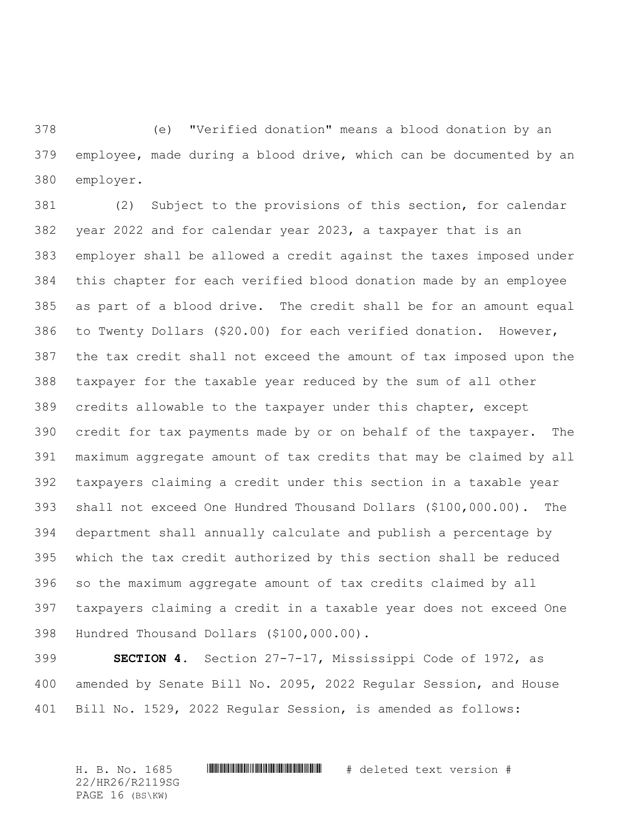(e) "Verified donation" means a blood donation by an employee, made during a blood drive, which can be documented by an employer.

 (2) Subject to the provisions of this section, for calendar year 2022 and for calendar year 2023, a taxpayer that is an employer shall be allowed a credit against the taxes imposed under this chapter for each verified blood donation made by an employee as part of a blood drive. The credit shall be for an amount equal to Twenty Dollars (\$20.00) for each verified donation. However, the tax credit shall not exceed the amount of tax imposed upon the taxpayer for the taxable year reduced by the sum of all other credits allowable to the taxpayer under this chapter, except credit for tax payments made by or on behalf of the taxpayer. The maximum aggregate amount of tax credits that may be claimed by all taxpayers claiming a credit under this section in a taxable year shall not exceed One Hundred Thousand Dollars (\$100,000.00). The department shall annually calculate and publish a percentage by which the tax credit authorized by this section shall be reduced so the maximum aggregate amount of tax credits claimed by all taxpayers claiming a credit in a taxable year does not exceed One Hundred Thousand Dollars (\$100,000.00).

 **SECTION 4.** Section 27-7-17, Mississippi Code of 1972, as amended by Senate Bill No. 2095, 2022 Regular Session, and House Bill No. 1529, 2022 Regular Session, is amended as follows:

H. B. No. 1685 \*HR26/R2119SG\* # deleted text version # 22/HR26/R2119SG PAGE 16 (BS\KW)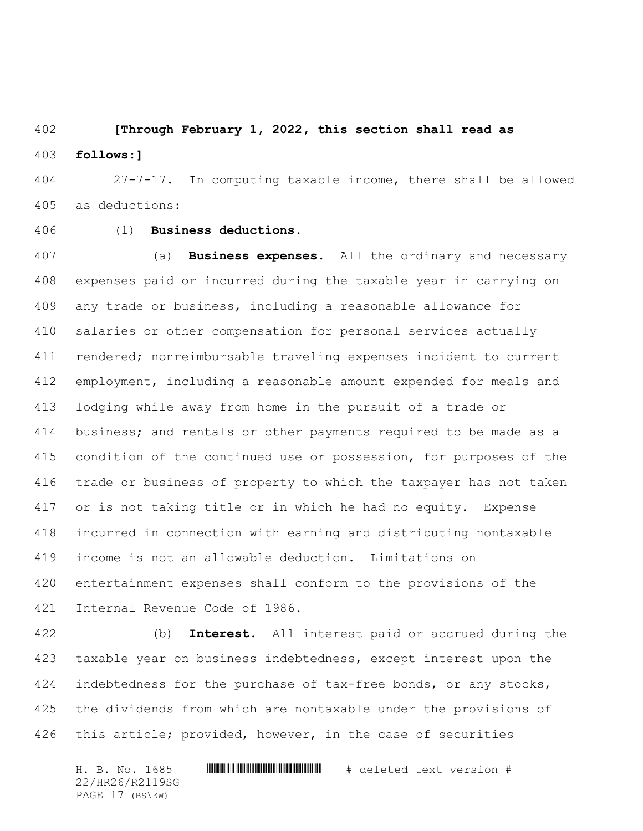**[Through February 1, 2022, this section shall read as follows:]**

 27-7-17. In computing taxable income, there shall be allowed as deductions:

# (1) **Business deductions.**

 (a) **Business expenses.** All the ordinary and necessary expenses paid or incurred during the taxable year in carrying on any trade or business, including a reasonable allowance for salaries or other compensation for personal services actually rendered; nonreimbursable traveling expenses incident to current employment, including a reasonable amount expended for meals and lodging while away from home in the pursuit of a trade or business; and rentals or other payments required to be made as a condition of the continued use or possession, for purposes of the trade or business of property to which the taxpayer has not taken or is not taking title or in which he had no equity. Expense incurred in connection with earning and distributing nontaxable income is not an allowable deduction. Limitations on entertainment expenses shall conform to the provisions of the Internal Revenue Code of 1986.

 (b) **Interest.** All interest paid or accrued during the taxable year on business indebtedness, except interest upon the 424 indebtedness for the purchase of tax-free bonds, or any stocks, the dividends from which are nontaxable under the provisions of this article; provided, however, in the case of securities

H. B. No. 1685 \*HR26/R2119SG\* # deleted text version # 22/HR26/R2119SG PAGE 17 (BS\KW)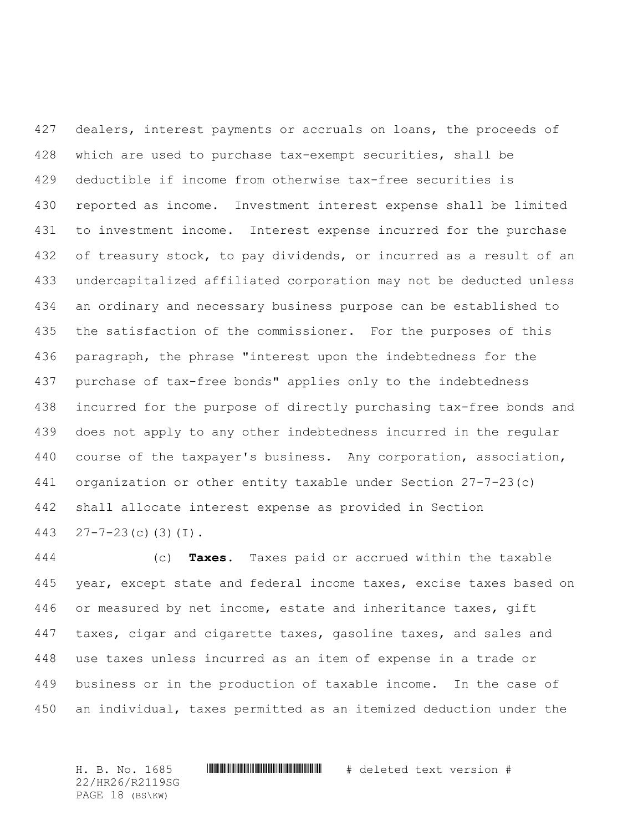427 dealers, interest payments or accruals on loans, the proceeds of which are used to purchase tax-exempt securities, shall be deductible if income from otherwise tax-free securities is reported as income. Investment interest expense shall be limited to investment income. Interest expense incurred for the purchase 432 of treasury stock, to pay dividends, or incurred as a result of an undercapitalized affiliated corporation may not be deducted unless an ordinary and necessary business purpose can be established to the satisfaction of the commissioner. For the purposes of this paragraph, the phrase "interest upon the indebtedness for the purchase of tax-free bonds" applies only to the indebtedness incurred for the purpose of directly purchasing tax-free bonds and does not apply to any other indebtedness incurred in the regular course of the taxpayer's business. Any corporation, association, organization or other entity taxable under Section 27-7-23(c) shall allocate interest expense as provided in Section 27-7-23(c)(3)(I).

 (c) **Taxes.** Taxes paid or accrued within the taxable 445 year, except state and federal income taxes, excise taxes based on or measured by net income, estate and inheritance taxes, gift 447 taxes, cigar and cigarette taxes, gasoline taxes, and sales and use taxes unless incurred as an item of expense in a trade or business or in the production of taxable income. In the case of an individual, taxes permitted as an itemized deduction under the

H. B. No. 1685 \*HR26/R2119SG\* # deleted text version # 22/HR26/R2119SG PAGE 18 (BS\KW)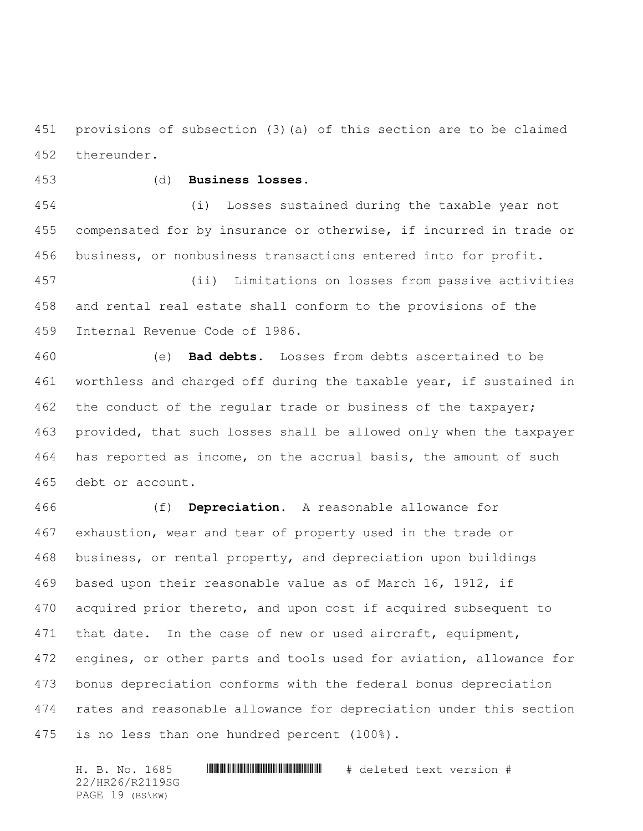provisions of subsection (3)(a) of this section are to be claimed thereunder.

## (d) **Business losses.**

 (i) Losses sustained during the taxable year not compensated for by insurance or otherwise, if incurred in trade or business, or nonbusiness transactions entered into for profit.

 (ii) Limitations on losses from passive activities and rental real estate shall conform to the provisions of the Internal Revenue Code of 1986.

 (e) **Bad debts.** Losses from debts ascertained to be worthless and charged off during the taxable year, if sustained in the conduct of the regular trade or business of the taxpayer; provided, that such losses shall be allowed only when the taxpayer has reported as income, on the accrual basis, the amount of such debt or account.

 (f) **Depreciation.** A reasonable allowance for exhaustion, wear and tear of property used in the trade or business, or rental property, and depreciation upon buildings based upon their reasonable value as of March 16, 1912, if acquired prior thereto, and upon cost if acquired subsequent to 471 that date. In the case of new or used aircraft, equipment, engines, or other parts and tools used for aviation, allowance for bonus depreciation conforms with the federal bonus depreciation rates and reasonable allowance for depreciation under this section is no less than one hundred percent (100%).

H. B. No. 1685 \*HR26/R2119SG\* # deleted text version # 22/HR26/R2119SG PAGE 19 (BS\KW)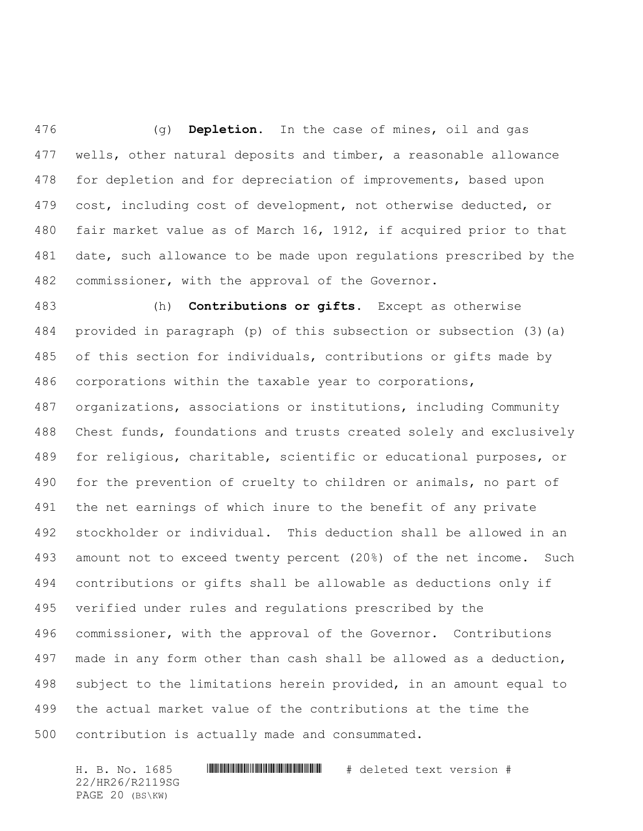(g) **Depletion.** In the case of mines, oil and gas wells, other natural deposits and timber, a reasonable allowance for depletion and for depreciation of improvements, based upon cost, including cost of development, not otherwise deducted, or fair market value as of March 16, 1912, if acquired prior to that date, such allowance to be made upon regulations prescribed by the commissioner, with the approval of the Governor.

 (h) **Contributions or gifts.** Except as otherwise provided in paragraph (p) of this subsection or subsection (3)(a) of this section for individuals, contributions or gifts made by corporations within the taxable year to corporations, organizations, associations or institutions, including Community Chest funds, foundations and trusts created solely and exclusively for religious, charitable, scientific or educational purposes, or for the prevention of cruelty to children or animals, no part of the net earnings of which inure to the benefit of any private stockholder or individual. This deduction shall be allowed in an amount not to exceed twenty percent (20%) of the net income. Such contributions or gifts shall be allowable as deductions only if verified under rules and regulations prescribed by the commissioner, with the approval of the Governor. Contributions made in any form other than cash shall be allowed as a deduction, subject to the limitations herein provided, in an amount equal to the actual market value of the contributions at the time the contribution is actually made and consummated.

H. B. No. 1685 \*HR26/R2119SG\* # deleted text version # 22/HR26/R2119SG PAGE 20 (BS\KW)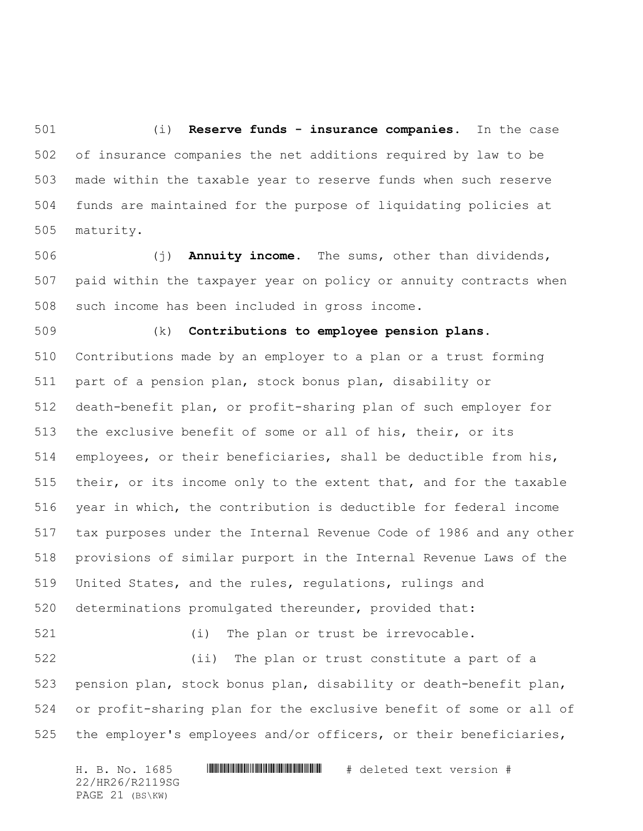(i) **Reserve funds - insurance companies.** In the case of insurance companies the net additions required by law to be made within the taxable year to reserve funds when such reserve funds are maintained for the purpose of liquidating policies at maturity.

 (j) **Annuity income.** The sums, other than dividends, paid within the taxpayer year on policy or annuity contracts when such income has been included in gross income.

 (k) **Contributions to employee pension plans.** Contributions made by an employer to a plan or a trust forming part of a pension plan, stock bonus plan, disability or death-benefit plan, or profit-sharing plan of such employer for the exclusive benefit of some or all of his, their, or its employees, or their beneficiaries, shall be deductible from his, 515 their, or its income only to the extent that, and for the taxable year in which, the contribution is deductible for federal income tax purposes under the Internal Revenue Code of 1986 and any other provisions of similar purport in the Internal Revenue Laws of the United States, and the rules, regulations, rulings and determinations promulgated thereunder, provided that:

(i) The plan or trust be irrevocable.

 (ii) The plan or trust constitute a part of a pension plan, stock bonus plan, disability or death-benefit plan, or profit-sharing plan for the exclusive benefit of some or all of the employer's employees and/or officers, or their beneficiaries,

H. B. No. 1685 \*HR26/R2119SG\* # deleted text version # 22/HR26/R2119SG PAGE 21 (BS\KW)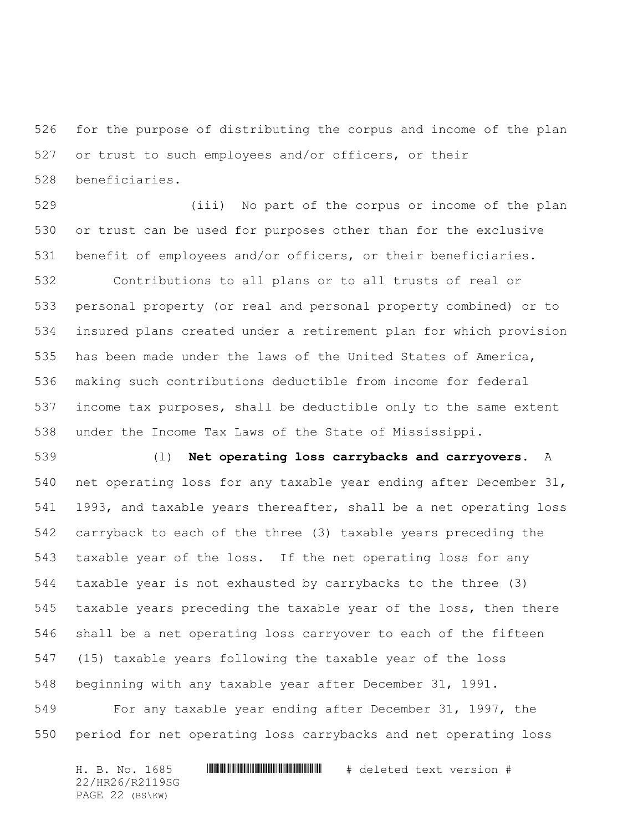for the purpose of distributing the corpus and income of the plan or trust to such employees and/or officers, or their beneficiaries.

 (iii) No part of the corpus or income of the plan or trust can be used for purposes other than for the exclusive benefit of employees and/or officers, or their beneficiaries.

 Contributions to all plans or to all trusts of real or personal property (or real and personal property combined) or to insured plans created under a retirement plan for which provision has been made under the laws of the United States of America, making such contributions deductible from income for federal income tax purposes, shall be deductible only to the same extent under the Income Tax Laws of the State of Mississippi.

 (l) **Net operating loss carrybacks and carryovers.** A net operating loss for any taxable year ending after December 31, 1993, and taxable years thereafter, shall be a net operating loss carryback to each of the three (3) taxable years preceding the taxable year of the loss. If the net operating loss for any taxable year is not exhausted by carrybacks to the three (3) taxable years preceding the taxable year of the loss, then there shall be a net operating loss carryover to each of the fifteen (15) taxable years following the taxable year of the loss beginning with any taxable year after December 31, 1991.

 For any taxable year ending after December 31, 1997, the period for net operating loss carrybacks and net operating loss

H. B. No. 1685 \*HR26/R2119SG\* # deleted text version # 22/HR26/R2119SG PAGE 22 (BS\KW)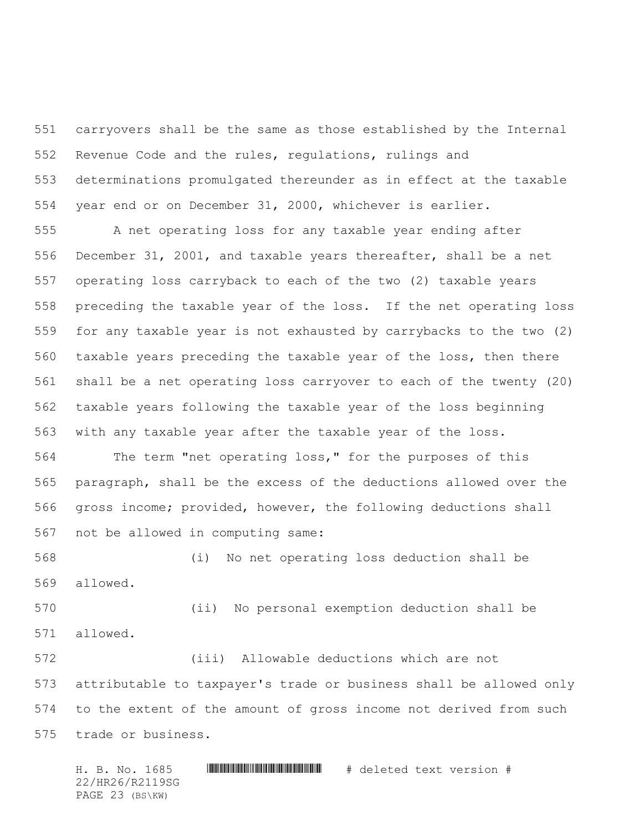carryovers shall be the same as those established by the Internal Revenue Code and the rules, regulations, rulings and determinations promulgated thereunder as in effect at the taxable year end or on December 31, 2000, whichever is earlier.

 A net operating loss for any taxable year ending after December 31, 2001, and taxable years thereafter, shall be a net operating loss carryback to each of the two (2) taxable years preceding the taxable year of the loss. If the net operating loss for any taxable year is not exhausted by carrybacks to the two (2) taxable years preceding the taxable year of the loss, then there shall be a net operating loss carryover to each of the twenty (20) taxable years following the taxable year of the loss beginning with any taxable year after the taxable year of the loss.

 The term "net operating loss," for the purposes of this paragraph, shall be the excess of the deductions allowed over the gross income; provided, however, the following deductions shall not be allowed in computing same:

 (i) No net operating loss deduction shall be allowed.

 (ii) No personal exemption deduction shall be allowed.

 (iii) Allowable deductions which are not attributable to taxpayer's trade or business shall be allowed only to the extent of the amount of gross income not derived from such trade or business.

H. B. No. 1685 \*HR26/R2119SG\* # deleted text version # 22/HR26/R2119SG PAGE 23 (BS\KW)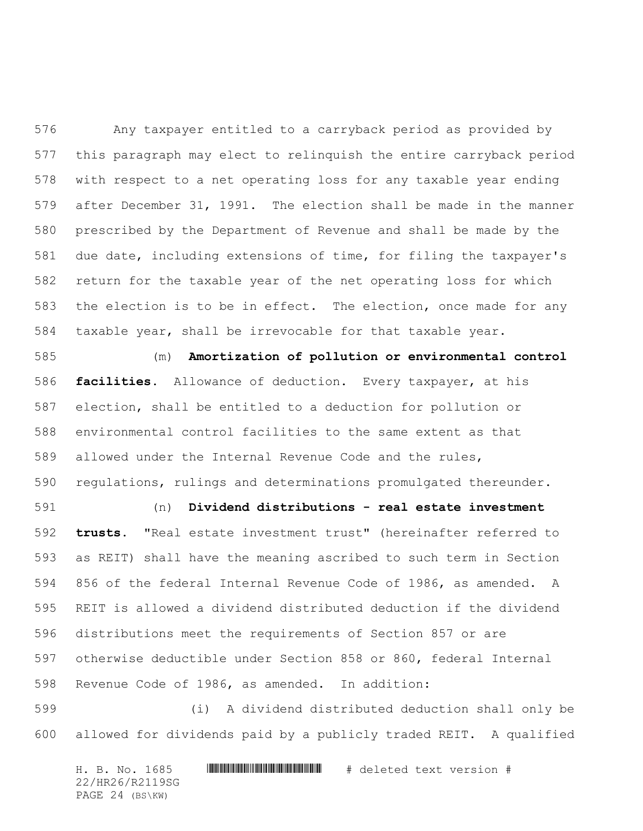Any taxpayer entitled to a carryback period as provided by this paragraph may elect to relinquish the entire carryback period with respect to a net operating loss for any taxable year ending after December 31, 1991. The election shall be made in the manner prescribed by the Department of Revenue and shall be made by the due date, including extensions of time, for filing the taxpayer's return for the taxable year of the net operating loss for which the election is to be in effect. The election, once made for any taxable year, shall be irrevocable for that taxable year.

 (m) **Amortization of pollution or environmental control facilities.** Allowance of deduction. Every taxpayer, at his election, shall be entitled to a deduction for pollution or environmental control facilities to the same extent as that allowed under the Internal Revenue Code and the rules, regulations, rulings and determinations promulgated thereunder.

 (n) **Dividend distributions - real estate investment trusts.** "Real estate investment trust" (hereinafter referred to as REIT) shall have the meaning ascribed to such term in Section 856 of the federal Internal Revenue Code of 1986, as amended. A REIT is allowed a dividend distributed deduction if the dividend distributions meet the requirements of Section 857 or are otherwise deductible under Section 858 or 860, federal Internal Revenue Code of 1986, as amended. In addition:

 (i) A dividend distributed deduction shall only be allowed for dividends paid by a publicly traded REIT. A qualified

H. B. No. 1685 \*HR26/R2119SG\* # deleted text version # 22/HR26/R2119SG PAGE 24 (BS\KW)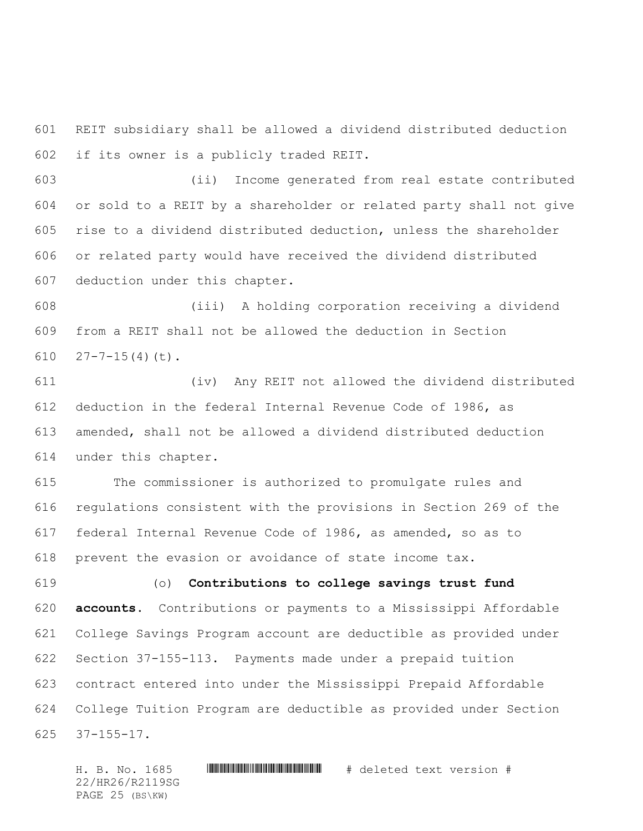REIT subsidiary shall be allowed a dividend distributed deduction if its owner is a publicly traded REIT.

 (ii) Income generated from real estate contributed or sold to a REIT by a shareholder or related party shall not give rise to a dividend distributed deduction, unless the shareholder or related party would have received the dividend distributed deduction under this chapter.

 (iii) A holding corporation receiving a dividend from a REIT shall not be allowed the deduction in Section 610  $27-7-15(4)(t)$ .

 (iv) Any REIT not allowed the dividend distributed deduction in the federal Internal Revenue Code of 1986, as amended, shall not be allowed a dividend distributed deduction under this chapter.

 The commissioner is authorized to promulgate rules and regulations consistent with the provisions in Section 269 of the federal Internal Revenue Code of 1986, as amended, so as to prevent the evasion or avoidance of state income tax.

 (o) **Contributions to college savings trust fund accounts.** Contributions or payments to a Mississippi Affordable College Savings Program account are deductible as provided under Section 37-155-113. Payments made under a prepaid tuition contract entered into under the Mississippi Prepaid Affordable College Tuition Program are deductible as provided under Section 37-155-17.

H. B. No. 1685 \*HR26/R2119SG\* # deleted text version # 22/HR26/R2119SG PAGE 25 (BS\KW)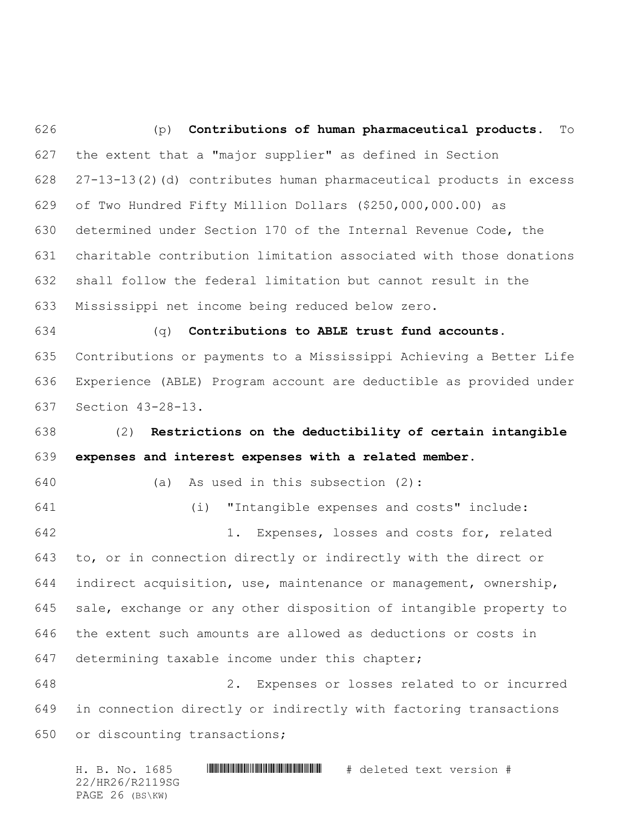(p) **Contributions of human pharmaceutical products.** To the extent that a "major supplier" as defined in Section 27-13-13(2)(d) contributes human pharmaceutical products in excess of Two Hundred Fifty Million Dollars (\$250,000,000.00) as determined under Section 170 of the Internal Revenue Code, the charitable contribution limitation associated with those donations shall follow the federal limitation but cannot result in the Mississippi net income being reduced below zero. (q) **Contributions to ABLE trust fund accounts.** Contributions or payments to a Mississippi Achieving a Better Life Experience (ABLE) Program account are deductible as provided under Section 43-28-13. (2) **Restrictions on the deductibility of certain intangible expenses and interest expenses with a related member.** (a) As used in this subsection (2): (i) "Intangible expenses and costs" include: 1. Expenses, losses and costs for, related to, or in connection directly or indirectly with the direct or indirect acquisition, use, maintenance or management, ownership, sale, exchange or any other disposition of intangible property to the extent such amounts are allowed as deductions or costs in determining taxable income under this chapter; 2. Expenses or losses related to or incurred

 in connection directly or indirectly with factoring transactions or discounting transactions;

H. B. No. 1685 \*HR26/R2119SG\* # deleted text version # 22/HR26/R2119SG PAGE 26 (BS\KW)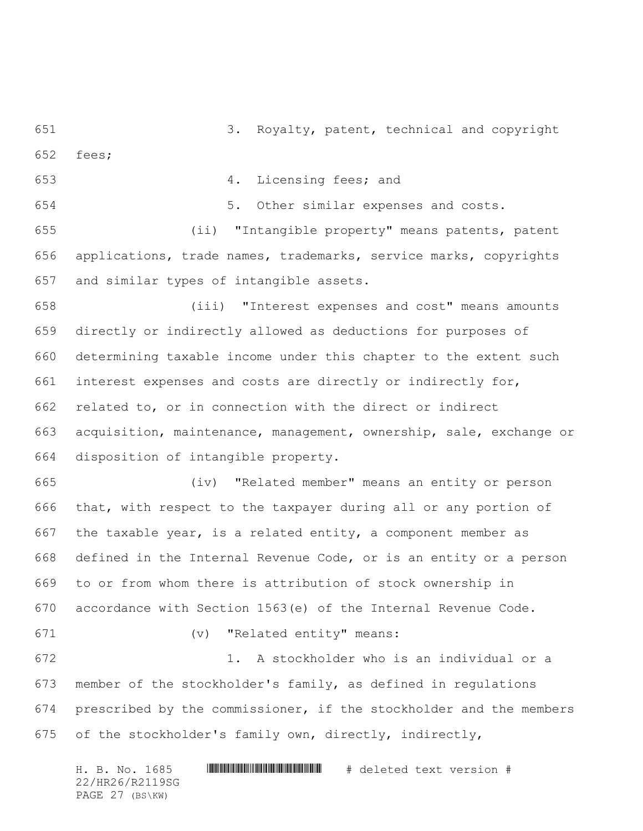3. Royalty, patent, technical and copyright fees;

- 4. Licensing fees; and
- 

5. Other similar expenses and costs.

 (ii) "Intangible property" means patents, patent applications, trade names, trademarks, service marks, copyrights and similar types of intangible assets.

 (iii) "Interest expenses and cost" means amounts directly or indirectly allowed as deductions for purposes of determining taxable income under this chapter to the extent such interest expenses and costs are directly or indirectly for, related to, or in connection with the direct or indirect acquisition, maintenance, management, ownership, sale, exchange or disposition of intangible property.

 (iv) "Related member" means an entity or person that, with respect to the taxpayer during all or any portion of the taxable year, is a related entity, a component member as defined in the Internal Revenue Code, or is an entity or a person to or from whom there is attribution of stock ownership in accordance with Section 1563(e) of the Internal Revenue Code.

(v) "Related entity" means:

 1. A stockholder who is an individual or a member of the stockholder's family, as defined in regulations prescribed by the commissioner, if the stockholder and the members of the stockholder's family own, directly, indirectly,

H. B. No. 1685 \*HR26/R2119SG\* # deleted text version # 22/HR26/R2119SG PAGE 27 (BS\KW)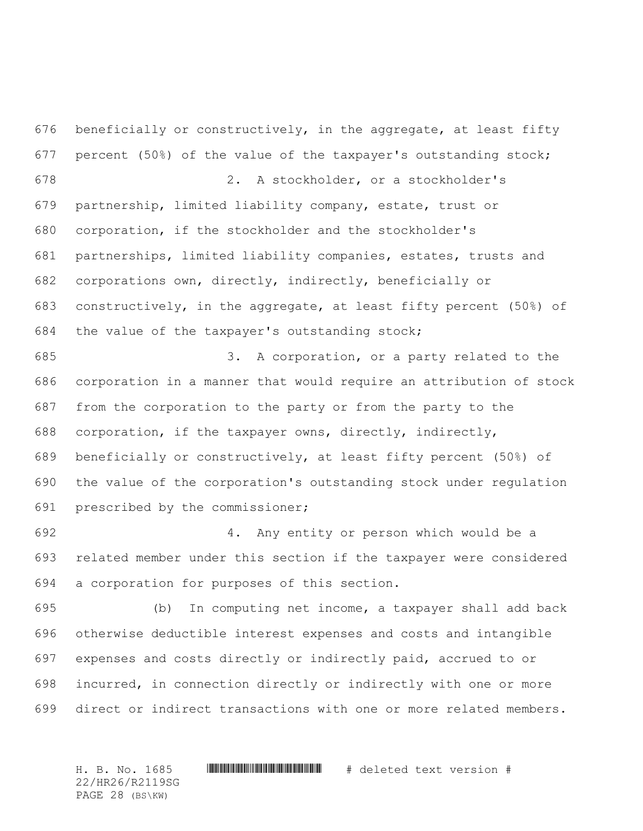676 beneficially or constructively, in the aggregate, at least fifty percent (50%) of the value of the taxpayer's outstanding stock; 2. A stockholder, or a stockholder's partnership, limited liability company, estate, trust or corporation, if the stockholder and the stockholder's partnerships, limited liability companies, estates, trusts and corporations own, directly, indirectly, beneficially or constructively, in the aggregate, at least fifty percent (50%) of the value of the taxpayer's outstanding stock; 3. A corporation, or a party related to the corporation in a manner that would require an attribution of stock from the corporation to the party or from the party to the corporation, if the taxpayer owns, directly, indirectly, beneficially or constructively, at least fifty percent (50%) of the value of the corporation's outstanding stock under regulation prescribed by the commissioner; 4. Any entity or person which would be a

 related member under this section if the taxpayer were considered a corporation for purposes of this section.

 (b) In computing net income, a taxpayer shall add back otherwise deductible interest expenses and costs and intangible expenses and costs directly or indirectly paid, accrued to or incurred, in connection directly or indirectly with one or more direct or indirect transactions with one or more related members.

H. B. No. 1685 \*HR26/R2119SG\* # deleted text version # 22/HR26/R2119SG PAGE 28 (BS\KW)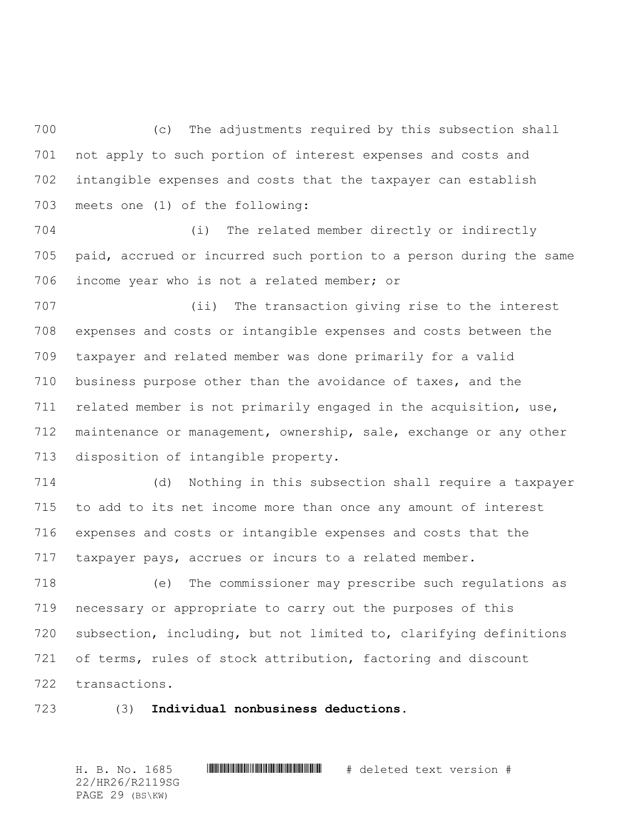(c) The adjustments required by this subsection shall not apply to such portion of interest expenses and costs and intangible expenses and costs that the taxpayer can establish meets one (1) of the following:

 (i) The related member directly or indirectly paid, accrued or incurred such portion to a person during the same income year who is not a related member; or

 (ii) The transaction giving rise to the interest expenses and costs or intangible expenses and costs between the taxpayer and related member was done primarily for a valid business purpose other than the avoidance of taxes, and the related member is not primarily engaged in the acquisition, use, maintenance or management, ownership, sale, exchange or any other disposition of intangible property.

 (d) Nothing in this subsection shall require a taxpayer to add to its net income more than once any amount of interest expenses and costs or intangible expenses and costs that the taxpayer pays, accrues or incurs to a related member.

 (e) The commissioner may prescribe such regulations as necessary or appropriate to carry out the purposes of this subsection, including, but not limited to, clarifying definitions of terms, rules of stock attribution, factoring and discount transactions.

(3) **Individual nonbusiness deductions.**

H. B. No. 1685 \*HR26/R2119SG\* # deleted text version # 22/HR26/R2119SG PAGE 29 (BS\KW)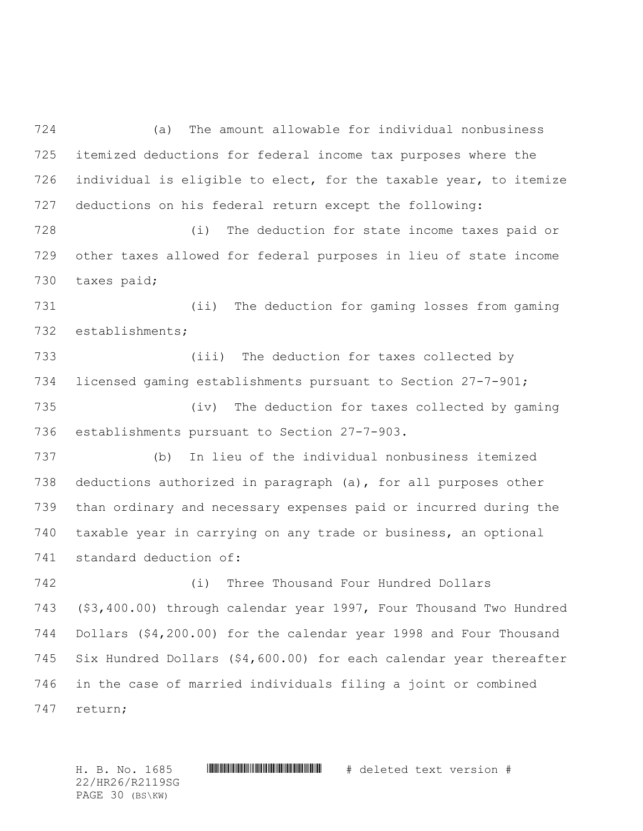(a) The amount allowable for individual nonbusiness itemized deductions for federal income tax purposes where the individual is eligible to elect, for the taxable year, to itemize deductions on his federal return except the following:

 (i) The deduction for state income taxes paid or other taxes allowed for federal purposes in lieu of state income taxes paid;

 (ii) The deduction for gaming losses from gaming establishments;

 (iii) The deduction for taxes collected by licensed gaming establishments pursuant to Section 27-7-901;

 (iv) The deduction for taxes collected by gaming establishments pursuant to Section 27-7-903.

 (b) In lieu of the individual nonbusiness itemized deductions authorized in paragraph (a), for all purposes other than ordinary and necessary expenses paid or incurred during the taxable year in carrying on any trade or business, an optional standard deduction of:

 (i) Three Thousand Four Hundred Dollars (\$3,400.00) through calendar year 1997, Four Thousand Two Hundred Dollars (\$4,200.00) for the calendar year 1998 and Four Thousand Six Hundred Dollars (\$4,600.00) for each calendar year thereafter in the case of married individuals filing a joint or combined return;

H. B. No. 1685 \*HR26/R2119SG\* # deleted text version # 22/HR26/R2119SG PAGE 30 (BS\KW)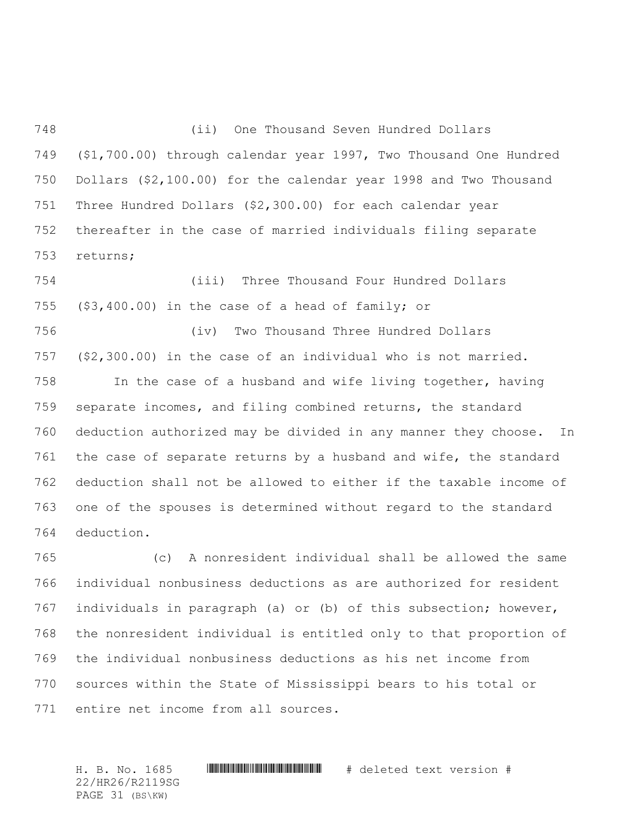(ii) One Thousand Seven Hundred Dollars (\$1,700.00) through calendar year 1997, Two Thousand One Hundred Dollars (\$2,100.00) for the calendar year 1998 and Two Thousand Three Hundred Dollars (\$2,300.00) for each calendar year thereafter in the case of married individuals filing separate returns;

 (iii) Three Thousand Four Hundred Dollars (\$3,400.00) in the case of a head of family; or (iv) Two Thousand Three Hundred Dollars (\$2,300.00) in the case of an individual who is not married. In the case of a husband and wife living together, having separate incomes, and filing combined returns, the standard deduction authorized may be divided in any manner they choose. In the case of separate returns by a husband and wife, the standard deduction shall not be allowed to either if the taxable income of one of the spouses is determined without regard to the standard deduction.

 (c) A nonresident individual shall be allowed the same individual nonbusiness deductions as are authorized for resident individuals in paragraph (a) or (b) of this subsection; however, the nonresident individual is entitled only to that proportion of the individual nonbusiness deductions as his net income from sources within the State of Mississippi bears to his total or entire net income from all sources.

H. B. No. 1685 \*HR26/R2119SG\* # deleted text version # 22/HR26/R2119SG PAGE 31 (BS\KW)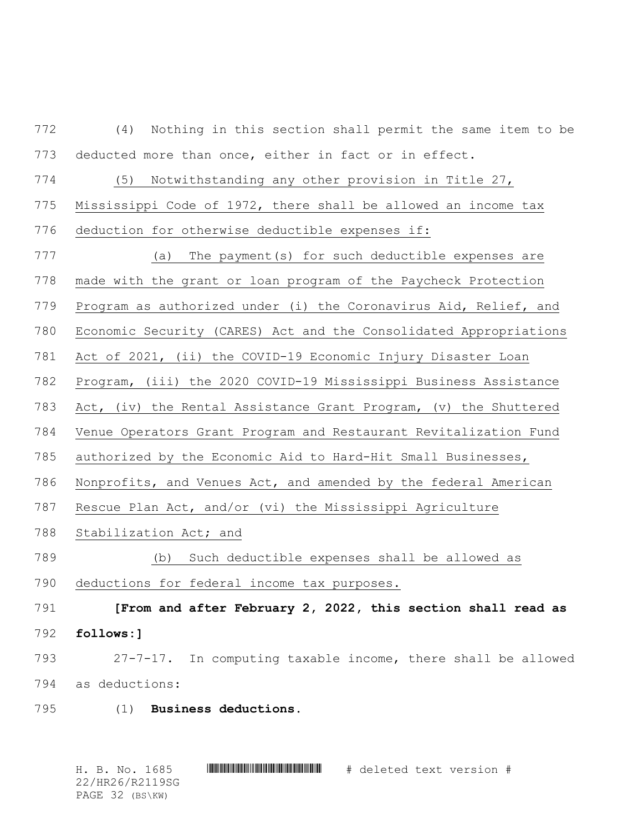(4) Nothing in this section shall permit the same item to be deducted more than once, either in fact or in effect.

 (5) Notwithstanding any other provision in Title 27, Mississippi Code of 1972, there shall be allowed an income tax

deduction for otherwise deductible expenses if:

 (a) The payment(s) for such deductible expenses are made with the grant or loan program of the Paycheck Protection Program as authorized under (i) the Coronavirus Aid, Relief, and Economic Security (CARES) Act and the Consolidated Appropriations Act of 2021, (ii) the COVID-19 Economic Injury Disaster Loan Program, (iii) the 2020 COVID-19 Mississippi Business Assistance Act, (iv) the Rental Assistance Grant Program, (v) the Shuttered Venue Operators Grant Program and Restaurant Revitalization Fund authorized by the Economic Aid to Hard-Hit Small Businesses, Nonprofits, and Venues Act, and amended by the federal American Rescue Plan Act, and/or (vi) the Mississippi Agriculture Stabilization Act; and (b) Such deductible expenses shall be allowed as deductions for federal income tax purposes. **[From and after February 2, 2022, this section shall read as follows:]**

 27-7-17. In computing taxable income, there shall be allowed as deductions:

(1) **Business deductions.**

H. B. No. 1685 \*HR26/R2119SG\* # deleted text version # 22/HR26/R2119SG PAGE 32 (BS\KW)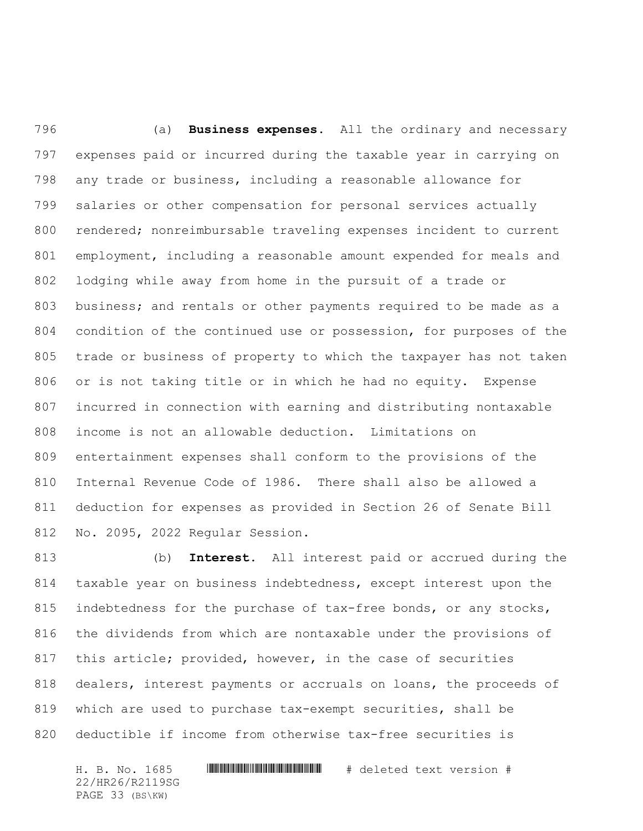(a) **Business expenses.** All the ordinary and necessary expenses paid or incurred during the taxable year in carrying on any trade or business, including a reasonable allowance for salaries or other compensation for personal services actually rendered; nonreimbursable traveling expenses incident to current employment, including a reasonable amount expended for meals and lodging while away from home in the pursuit of a trade or business; and rentals or other payments required to be made as a condition of the continued use or possession, for purposes of the trade or business of property to which the taxpayer has not taken or is not taking title or in which he had no equity. Expense incurred in connection with earning and distributing nontaxable income is not an allowable deduction. Limitations on entertainment expenses shall conform to the provisions of the Internal Revenue Code of 1986. There shall also be allowed a deduction for expenses as provided in Section 26 of Senate Bill No. 2095, 2022 Regular Session.

 (b) **Interest.** All interest paid or accrued during the taxable year on business indebtedness, except interest upon the 815 indebtedness for the purchase of tax-free bonds, or any stocks, the dividends from which are nontaxable under the provisions of this article; provided, however, in the case of securities dealers, interest payments or accruals on loans, the proceeds of which are used to purchase tax-exempt securities, shall be deductible if income from otherwise tax-free securities is

H. B. No. 1685 \*HR26/R2119SG\* # deleted text version # 22/HR26/R2119SG PAGE 33 (BS\KW)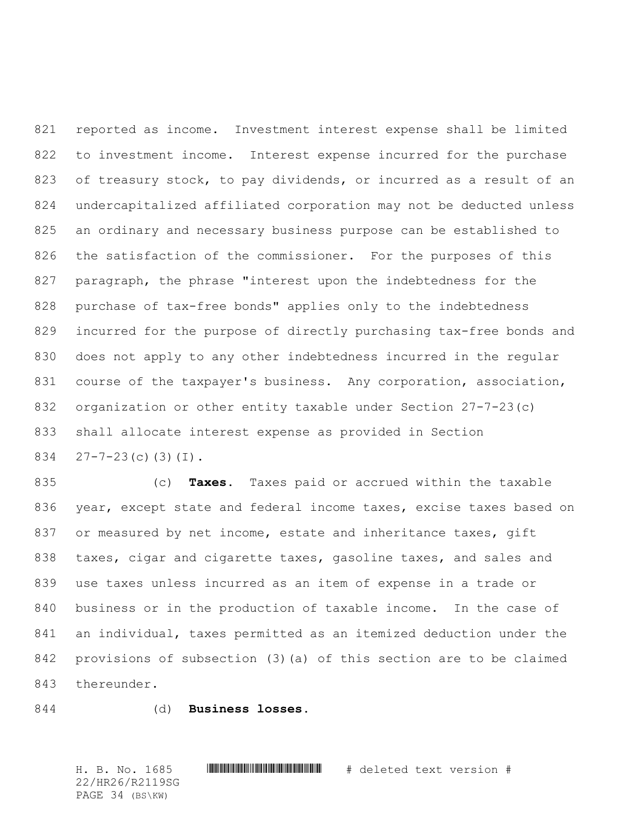reported as income. Investment interest expense shall be limited 822 to investment income. Interest expense incurred for the purchase of treasury stock, to pay dividends, or incurred as a result of an undercapitalized affiliated corporation may not be deducted unless an ordinary and necessary business purpose can be established to the satisfaction of the commissioner. For the purposes of this paragraph, the phrase "interest upon the indebtedness for the purchase of tax-free bonds" applies only to the indebtedness incurred for the purpose of directly purchasing tax-free bonds and does not apply to any other indebtedness incurred in the regular 831 course of the taxpayer's business. Any corporation, association, organization or other entity taxable under Section 27-7-23(c) shall allocate interest expense as provided in Section 27-7-23(c)(3)(I).

 (c) **Taxes.** Taxes paid or accrued within the taxable 836 year, except state and federal income taxes, excise taxes based on 837 or measured by net income, estate and inheritance taxes, gift taxes, cigar and cigarette taxes, gasoline taxes, and sales and use taxes unless incurred as an item of expense in a trade or business or in the production of taxable income. In the case of an individual, taxes permitted as an itemized deduction under the provisions of subsection (3)(a) of this section are to be claimed thereunder.

(d) **Business losses.**

H. B. No. 1685 \*HR26/R2119SG\* # deleted text version # 22/HR26/R2119SG PAGE 34 (BS\KW)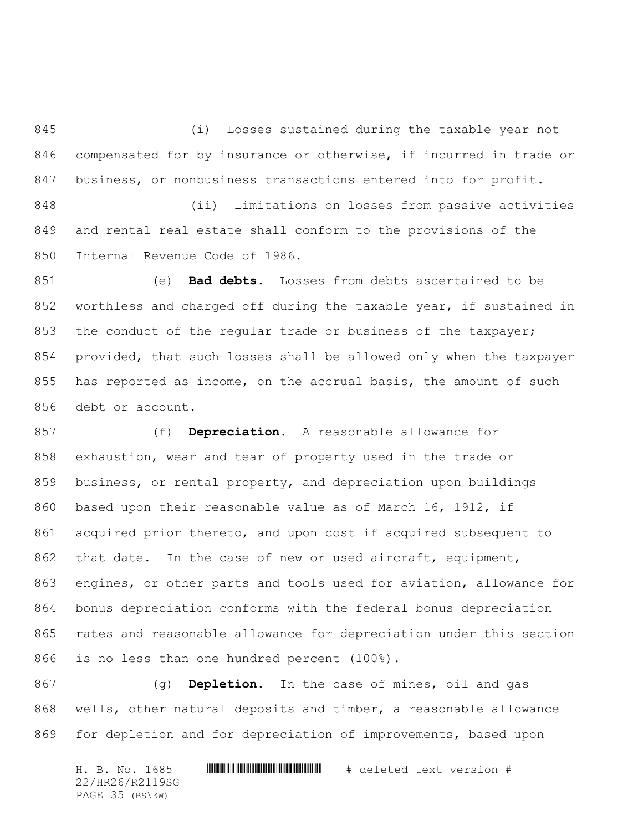(i) Losses sustained during the taxable year not compensated for by insurance or otherwise, if incurred in trade or business, or nonbusiness transactions entered into for profit.

 (ii) Limitations on losses from passive activities and rental real estate shall conform to the provisions of the Internal Revenue Code of 1986.

 (e) **Bad debts.** Losses from debts ascertained to be worthless and charged off during the taxable year, if sustained in 853 the conduct of the regular trade or business of the taxpayer; provided, that such losses shall be allowed only when the taxpayer has reported as income, on the accrual basis, the amount of such debt or account.

 (f) **Depreciation.** A reasonable allowance for exhaustion, wear and tear of property used in the trade or business, or rental property, and depreciation upon buildings based upon their reasonable value as of March 16, 1912, if acquired prior thereto, and upon cost if acquired subsequent to 862 that date. In the case of new or used aircraft, equipment, engines, or other parts and tools used for aviation, allowance for bonus depreciation conforms with the federal bonus depreciation rates and reasonable allowance for depreciation under this section is no less than one hundred percent (100%).

 (g) **Depletion.** In the case of mines, oil and gas wells, other natural deposits and timber, a reasonable allowance for depletion and for depreciation of improvements, based upon

H. B. No. 1685 \*HR26/R2119SG\* # deleted text version # 22/HR26/R2119SG PAGE 35 (BS\KW)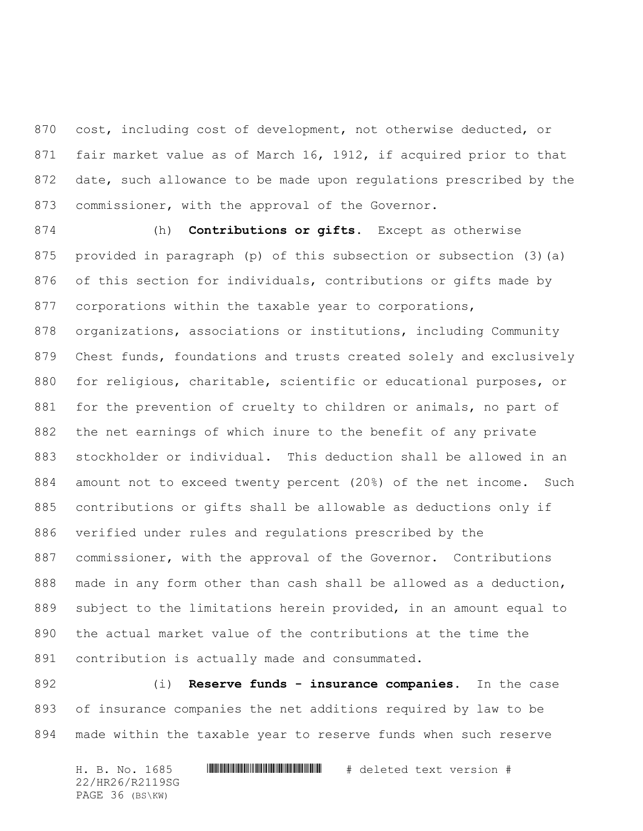cost, including cost of development, not otherwise deducted, or fair market value as of March 16, 1912, if acquired prior to that date, such allowance to be made upon regulations prescribed by the commissioner, with the approval of the Governor.

 (h) **Contributions or gifts.** Except as otherwise provided in paragraph (p) of this subsection or subsection (3)(a) of this section for individuals, contributions or gifts made by 877 corporations within the taxable year to corporations, organizations, associations or institutions, including Community Chest funds, foundations and trusts created solely and exclusively for religious, charitable, scientific or educational purposes, or for the prevention of cruelty to children or animals, no part of the net earnings of which inure to the benefit of any private stockholder or individual. This deduction shall be allowed in an amount not to exceed twenty percent (20%) of the net income. Such contributions or gifts shall be allowable as deductions only if verified under rules and regulations prescribed by the commissioner, with the approval of the Governor. Contributions made in any form other than cash shall be allowed as a deduction, subject to the limitations herein provided, in an amount equal to the actual market value of the contributions at the time the contribution is actually made and consummated.

 (i) **Reserve funds - insurance companies.** In the case of insurance companies the net additions required by law to be made within the taxable year to reserve funds when such reserve

H. B. No. 1685 \*HR26/R2119SG\* # deleted text version # 22/HR26/R2119SG PAGE 36 (BS\KW)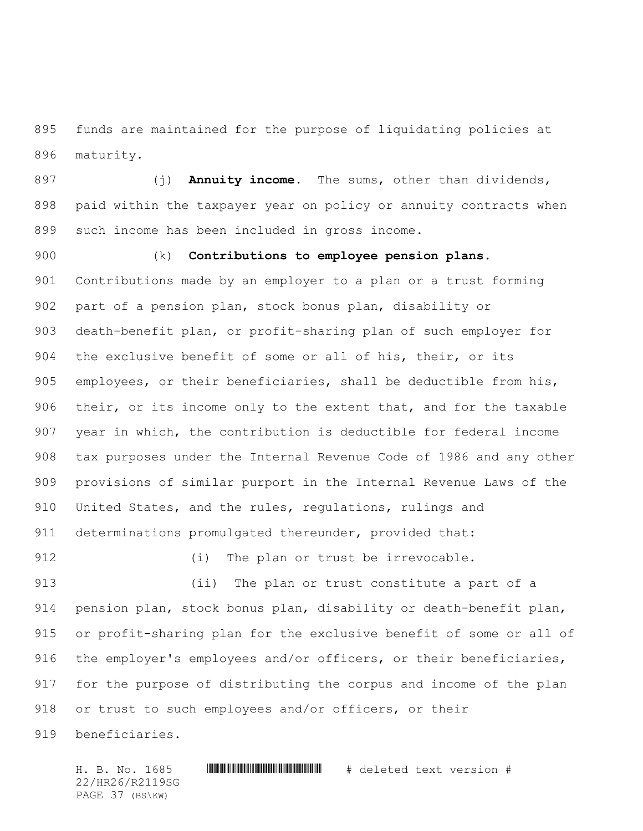funds are maintained for the purpose of liquidating policies at maturity.

 (j) **Annuity income.** The sums, other than dividends, paid within the taxpayer year on policy or annuity contracts when such income has been included in gross income.

 (k) **Contributions to employee pension plans.** Contributions made by an employer to a plan or a trust forming part of a pension plan, stock bonus plan, disability or death-benefit plan, or profit-sharing plan of such employer for the exclusive benefit of some or all of his, their, or its employees, or their beneficiaries, shall be deductible from his, their, or its income only to the extent that, and for the taxable year in which, the contribution is deductible for federal income tax purposes under the Internal Revenue Code of 1986 and any other provisions of similar purport in the Internal Revenue Laws of the United States, and the rules, regulations, rulings and determinations promulgated thereunder, provided that:

912 (i) The plan or trust be irrevocable.

 (ii) The plan or trust constitute a part of a pension plan, stock bonus plan, disability or death-benefit plan, or profit-sharing plan for the exclusive benefit of some or all of the employer's employees and/or officers, or their beneficiaries, for the purpose of distributing the corpus and income of the plan 918 or trust to such employees and/or officers, or their beneficiaries.

H. B. No. 1685 \*HR26/R2119SG\* # deleted text version # 22/HR26/R2119SG PAGE 37 (BS\KW)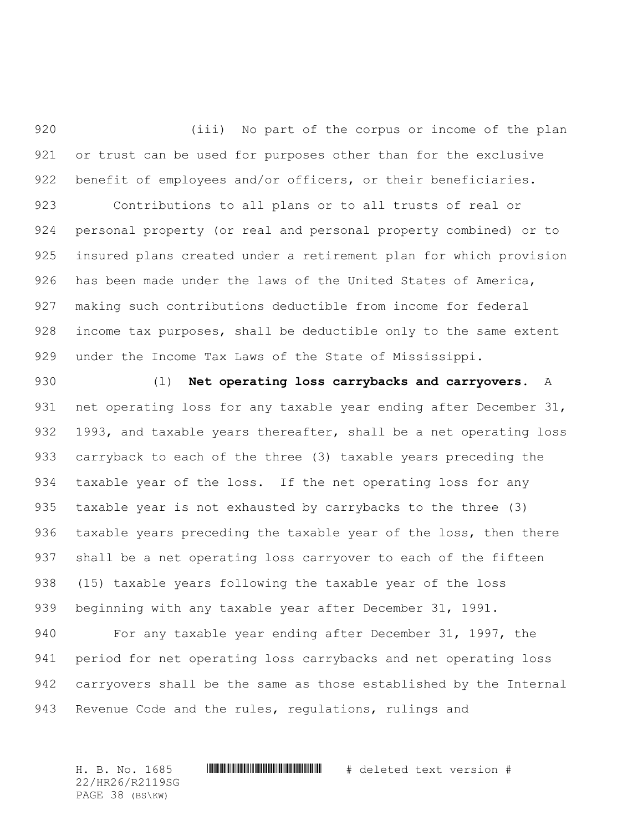(iii) No part of the corpus or income of the plan or trust can be used for purposes other than for the exclusive 922 benefit of employees and/or officers, or their beneficiaries.

 Contributions to all plans or to all trusts of real or personal property (or real and personal property combined) or to insured plans created under a retirement plan for which provision has been made under the laws of the United States of America, making such contributions deductible from income for federal 928 income tax purposes, shall be deductible only to the same extent under the Income Tax Laws of the State of Mississippi.

 (l) **Net operating loss carrybacks and carryovers.** A net operating loss for any taxable year ending after December 31, 932 1993, and taxable years thereafter, shall be a net operating loss carryback to each of the three (3) taxable years preceding the taxable year of the loss. If the net operating loss for any taxable year is not exhausted by carrybacks to the three (3) 936 taxable years preceding the taxable year of the loss, then there shall be a net operating loss carryover to each of the fifteen (15) taxable years following the taxable year of the loss beginning with any taxable year after December 31, 1991.

 For any taxable year ending after December 31, 1997, the period for net operating loss carrybacks and net operating loss carryovers shall be the same as those established by the Internal 943 Revenue Code and the rules, regulations, rulings and

H. B. No. 1685 \*HR26/R2119SG\* # deleted text version # 22/HR26/R2119SG PAGE 38 (BS\KW)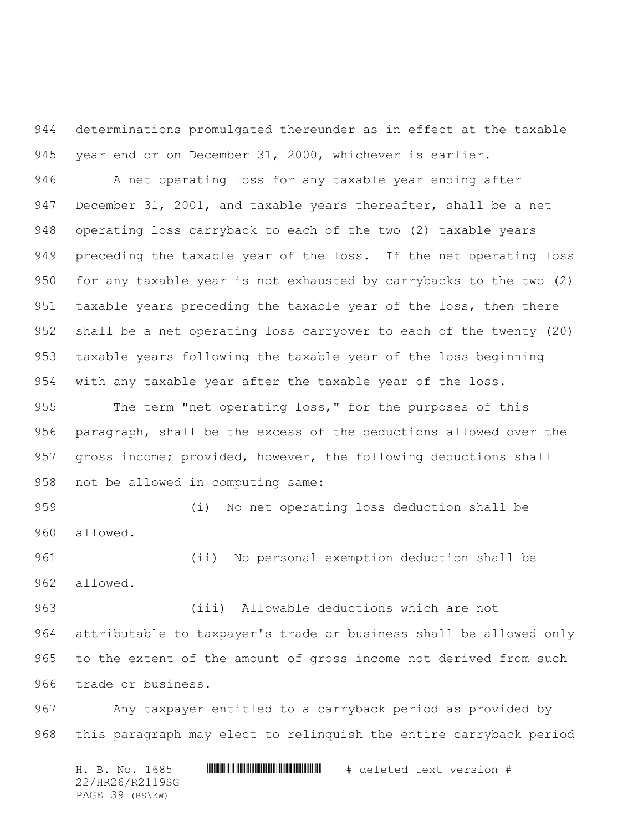determinations promulgated thereunder as in effect at the taxable year end or on December 31, 2000, whichever is earlier.

 A net operating loss for any taxable year ending after December 31, 2001, and taxable years thereafter, shall be a net operating loss carryback to each of the two (2) taxable years preceding the taxable year of the loss. If the net operating loss for any taxable year is not exhausted by carrybacks to the two (2) 951 taxable years preceding the taxable year of the loss, then there shall be a net operating loss carryover to each of the twenty (20) taxable years following the taxable year of the loss beginning with any taxable year after the taxable year of the loss.

955 The term "net operating loss," for the purposes of this paragraph, shall be the excess of the deductions allowed over the gross income; provided, however, the following deductions shall not be allowed in computing same:

 (i) No net operating loss deduction shall be allowed.

 (ii) No personal exemption deduction shall be allowed.

 (iii) Allowable deductions which are not attributable to taxpayer's trade or business shall be allowed only to the extent of the amount of gross income not derived from such trade or business.

 Any taxpayer entitled to a carryback period as provided by this paragraph may elect to relinquish the entire carryback period

H. B. No. 1685 \*HR26/R2119SG\* # deleted text version # 22/HR26/R2119SG PAGE 39 (BS\KW)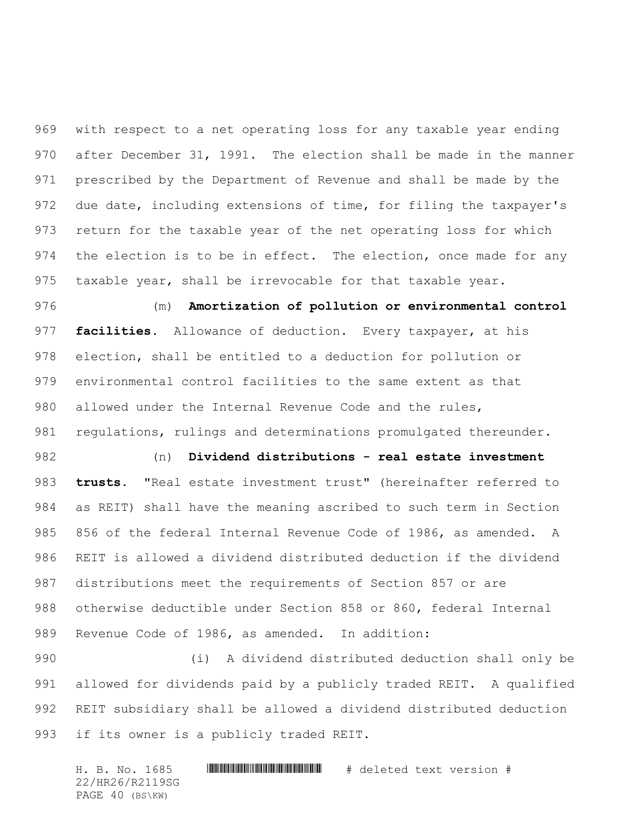with respect to a net operating loss for any taxable year ending after December 31, 1991. The election shall be made in the manner prescribed by the Department of Revenue and shall be made by the due date, including extensions of time, for filing the taxpayer's return for the taxable year of the net operating loss for which 974 the election is to be in effect. The election, once made for any taxable year, shall be irrevocable for that taxable year.

 (m) **Amortization of pollution or environmental control facilities.** Allowance of deduction. Every taxpayer, at his election, shall be entitled to a deduction for pollution or environmental control facilities to the same extent as that 980 allowed under the Internal Revenue Code and the rules, regulations, rulings and determinations promulgated thereunder.

 (n) **Dividend distributions - real estate investment trusts.** "Real estate investment trust" (hereinafter referred to as REIT) shall have the meaning ascribed to such term in Section 856 of the federal Internal Revenue Code of 1986, as amended. A REIT is allowed a dividend distributed deduction if the dividend distributions meet the requirements of Section 857 or are otherwise deductible under Section 858 or 860, federal Internal Revenue Code of 1986, as amended. In addition:

 (i) A dividend distributed deduction shall only be allowed for dividends paid by a publicly traded REIT. A qualified REIT subsidiary shall be allowed a dividend distributed deduction if its owner is a publicly traded REIT.

H. B. No. 1685 \*HR26/R2119SG\* # deleted text version # 22/HR26/R2119SG PAGE 40 (BS\KW)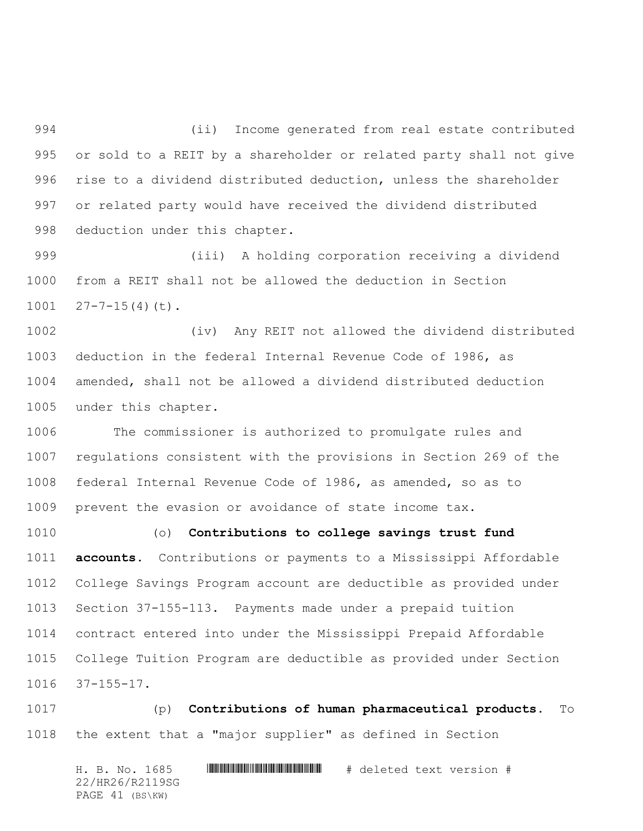(ii) Income generated from real estate contributed or sold to a REIT by a shareholder or related party shall not give rise to a dividend distributed deduction, unless the shareholder or related party would have received the dividend distributed deduction under this chapter.

 (iii) A holding corporation receiving a dividend from a REIT shall not be allowed the deduction in Section  $27-7-15(4)(t)$ .

 (iv) Any REIT not allowed the dividend distributed deduction in the federal Internal Revenue Code of 1986, as amended, shall not be allowed a dividend distributed deduction under this chapter.

 The commissioner is authorized to promulgate rules and regulations consistent with the provisions in Section 269 of the federal Internal Revenue Code of 1986, as amended, so as to prevent the evasion or avoidance of state income tax.

 (o) **Contributions to college savings trust fund accounts.** Contributions or payments to a Mississippi Affordable College Savings Program account are deductible as provided under Section 37-155-113. Payments made under a prepaid tuition contract entered into under the Mississippi Prepaid Affordable College Tuition Program are deductible as provided under Section 37-155-17.

 (p) **Contributions of human pharmaceutical products.** To the extent that a "major supplier" as defined in Section

H. B. No. 1685 \*HR26/R2119SG\* # deleted text version # 22/HR26/R2119SG PAGE 41 (BS\KW)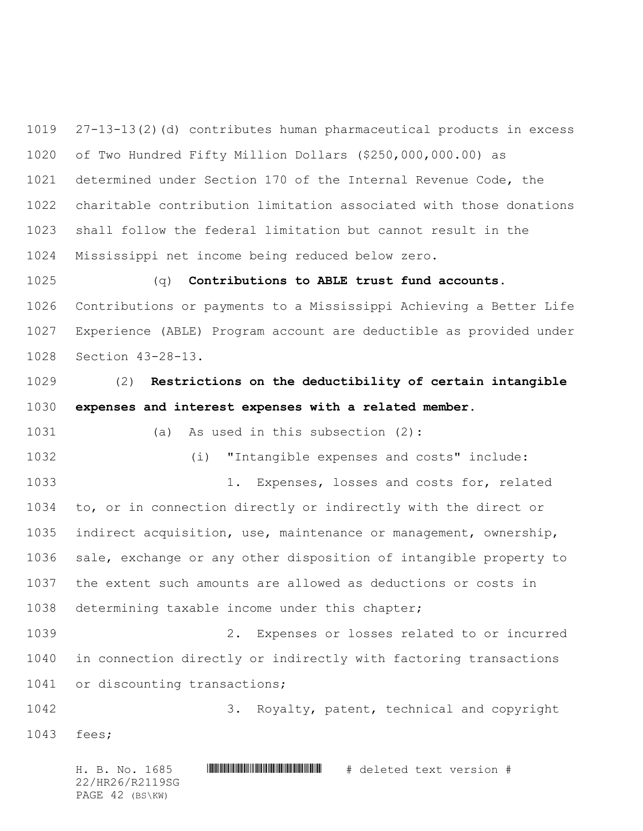27-13-13(2)(d) contributes human pharmaceutical products in excess of Two Hundred Fifty Million Dollars (\$250,000,000.00) as determined under Section 170 of the Internal Revenue Code, the charitable contribution limitation associated with those donations shall follow the federal limitation but cannot result in the Mississippi net income being reduced below zero.

 (q) **Contributions to ABLE trust fund accounts.** Contributions or payments to a Mississippi Achieving a Better Life Experience (ABLE) Program account are deductible as provided under Section 43-28-13.

 (2) **Restrictions on the deductibility of certain intangible expenses and interest expenses with a related member.**

(a) As used in this subsection (2):

(i) "Intangible expenses and costs" include:

 1. Expenses, losses and costs for, related to, or in connection directly or indirectly with the direct or indirect acquisition, use, maintenance or management, ownership, sale, exchange or any other disposition of intangible property to the extent such amounts are allowed as deductions or costs in determining taxable income under this chapter;

 2. Expenses or losses related to or incurred in connection directly or indirectly with factoring transactions 1041 or discounting transactions;

 3. Royalty, patent, technical and copyright fees;

H. B. No. 1685 \*HR26/R2119SG\* # deleted text version # 22/HR26/R2119SG PAGE 42 (BS\KW)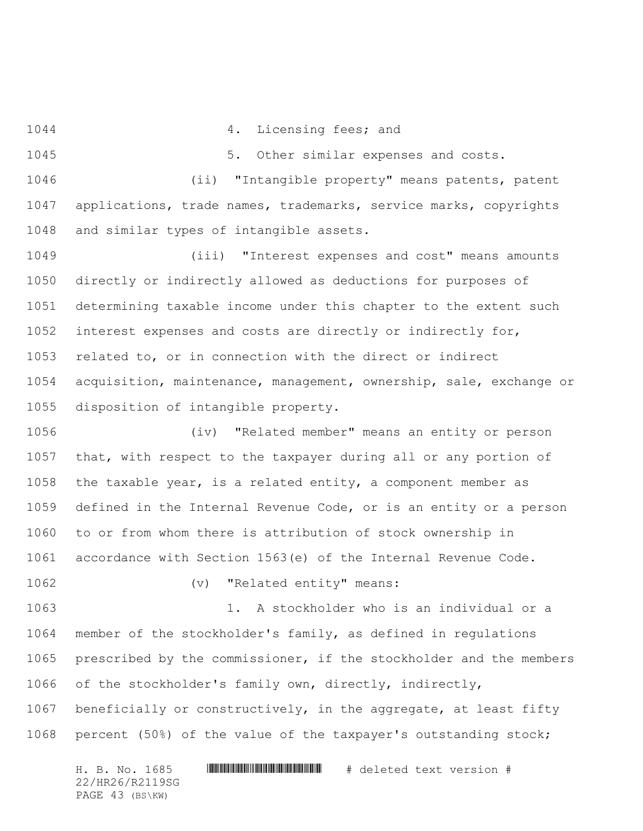4. Licensing fees; and

5. Other similar expenses and costs.

 (ii) "Intangible property" means patents, patent applications, trade names, trademarks, service marks, copyrights and similar types of intangible assets.

 (iii) "Interest expenses and cost" means amounts directly or indirectly allowed as deductions for purposes of determining taxable income under this chapter to the extent such interest expenses and costs are directly or indirectly for, related to, or in connection with the direct or indirect acquisition, maintenance, management, ownership, sale, exchange or disposition of intangible property.

 (iv) "Related member" means an entity or person that, with respect to the taxpayer during all or any portion of the taxable year, is a related entity, a component member as defined in the Internal Revenue Code, or is an entity or a person to or from whom there is attribution of stock ownership in accordance with Section 1563(e) of the Internal Revenue Code.

1062 (v) "Related entity" means: 1. A stockholder who is an individual or a member of the stockholder's family, as defined in regulations prescribed by the commissioner, if the stockholder and the members of the stockholder's family own, directly, indirectly, beneficially or constructively, in the aggregate, at least fifty percent (50%) of the value of the taxpayer's outstanding stock;

H. B. No. 1685 \*HR26/R2119SG\* # deleted text version # 22/HR26/R2119SG PAGE 43 (BS\KW)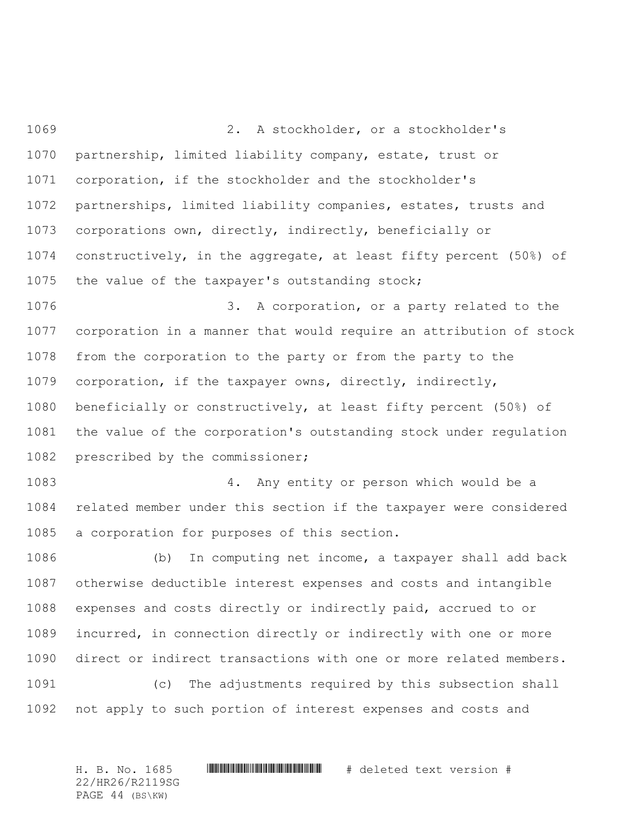2. A stockholder, or a stockholder's partnership, limited liability company, estate, trust or corporation, if the stockholder and the stockholder's partnerships, limited liability companies, estates, trusts and corporations own, directly, indirectly, beneficially or constructively, in the aggregate, at least fifty percent (50%) of the value of the taxpayer's outstanding stock; 3. A corporation, or a party related to the corporation in a manner that would require an attribution of stock

 from the corporation to the party or from the party to the corporation, if the taxpayer owns, directly, indirectly, beneficially or constructively, at least fifty percent (50%) of the value of the corporation's outstanding stock under regulation 1082 prescribed by the commissioner;

 4. Any entity or person which would be a related member under this section if the taxpayer were considered a corporation for purposes of this section.

 (b) In computing net income, a taxpayer shall add back otherwise deductible interest expenses and costs and intangible expenses and costs directly or indirectly paid, accrued to or incurred, in connection directly or indirectly with one or more direct or indirect transactions with one or more related members.

 (c) The adjustments required by this subsection shall not apply to such portion of interest expenses and costs and

H. B. No. 1685 \*HR26/R2119SG\* # deleted text version # 22/HR26/R2119SG PAGE 44 (BS\KW)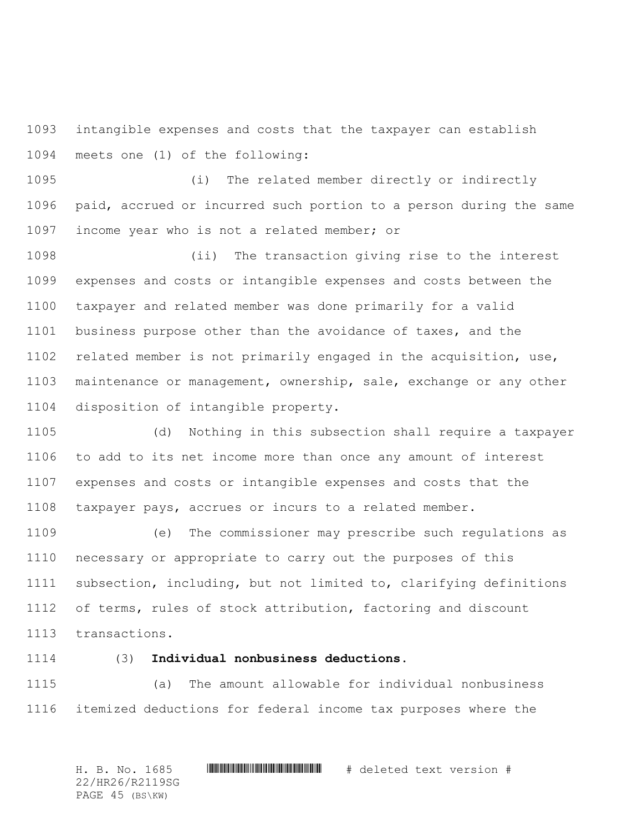intangible expenses and costs that the taxpayer can establish meets one (1) of the following:

 (i) The related member directly or indirectly paid, accrued or incurred such portion to a person during the same income year who is not a related member; or

 (ii) The transaction giving rise to the interest expenses and costs or intangible expenses and costs between the taxpayer and related member was done primarily for a valid business purpose other than the avoidance of taxes, and the related member is not primarily engaged in the acquisition, use, maintenance or management, ownership, sale, exchange or any other disposition of intangible property.

 (d) Nothing in this subsection shall require a taxpayer to add to its net income more than once any amount of interest expenses and costs or intangible expenses and costs that the taxpayer pays, accrues or incurs to a related member.

 (e) The commissioner may prescribe such regulations as necessary or appropriate to carry out the purposes of this subsection, including, but not limited to, clarifying definitions of terms, rules of stock attribution, factoring and discount transactions.

### (3) **Individual nonbusiness deductions.**

 (a) The amount allowable for individual nonbusiness itemized deductions for federal income tax purposes where the

H. B. No. 1685 \*HR26/R2119SG\* # deleted text version # 22/HR26/R2119SG PAGE 45 (BS\KW)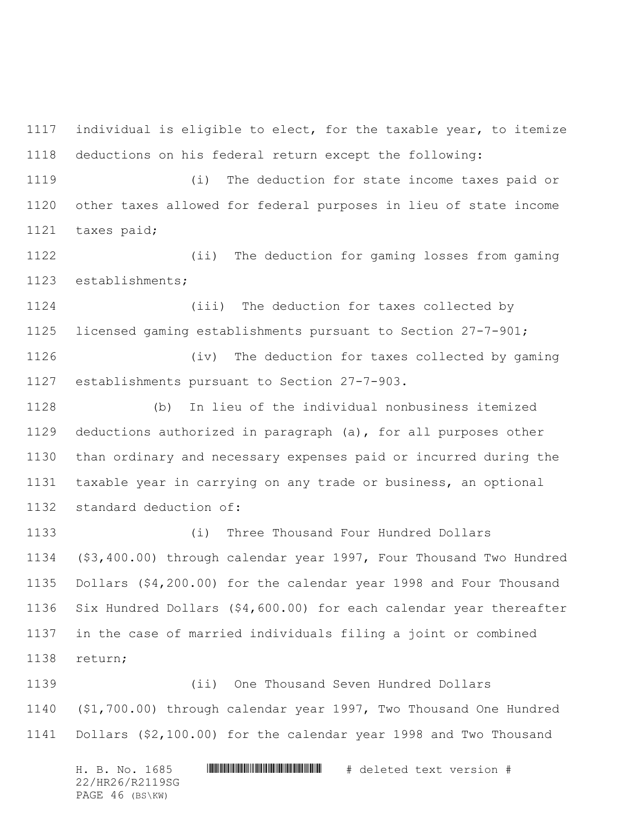individual is eligible to elect, for the taxable year, to itemize deductions on his federal return except the following:

 (i) The deduction for state income taxes paid or other taxes allowed for federal purposes in lieu of state income taxes paid;

 (ii) The deduction for gaming losses from gaming establishments;

 (iii) The deduction for taxes collected by licensed gaming establishments pursuant to Section 27-7-901;

 (iv) The deduction for taxes collected by gaming establishments pursuant to Section 27-7-903.

 (b) In lieu of the individual nonbusiness itemized deductions authorized in paragraph (a), for all purposes other than ordinary and necessary expenses paid or incurred during the taxable year in carrying on any trade or business, an optional standard deduction of:

 (i) Three Thousand Four Hundred Dollars (\$3,400.00) through calendar year 1997, Four Thousand Two Hundred Dollars (\$4,200.00) for the calendar year 1998 and Four Thousand Six Hundred Dollars (\$4,600.00) for each calendar year thereafter in the case of married individuals filing a joint or combined return;

 (ii) One Thousand Seven Hundred Dollars (\$1,700.00) through calendar year 1997, Two Thousand One Hundred Dollars (\$2,100.00) for the calendar year 1998 and Two Thousand

H. B. No. 1685 \*HR26/R2119SG\* # deleted text version # 22/HR26/R2119SG PAGE 46 (BS\KW)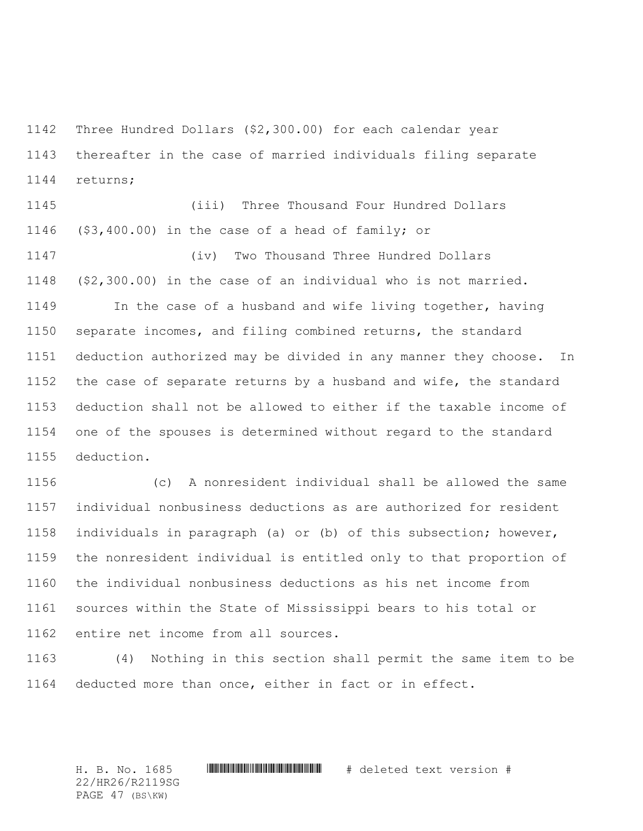Three Hundred Dollars (\$2,300.00) for each calendar year thereafter in the case of married individuals filing separate returns;

 (iii) Three Thousand Four Hundred Dollars (\$3,400.00) in the case of a head of family; or (iv) Two Thousand Three Hundred Dollars (\$2,300.00) in the case of an individual who is not married. 1149 In the case of a husband and wife living together, having separate incomes, and filing combined returns, the standard deduction authorized may be divided in any manner they choose. In the case of separate returns by a husband and wife, the standard deduction shall not be allowed to either if the taxable income of one of the spouses is determined without regard to the standard deduction.

 (c) A nonresident individual shall be allowed the same individual nonbusiness deductions as are authorized for resident individuals in paragraph (a) or (b) of this subsection; however, the nonresident individual is entitled only to that proportion of the individual nonbusiness deductions as his net income from sources within the State of Mississippi bears to his total or entire net income from all sources.

 (4) Nothing in this section shall permit the same item to be deducted more than once, either in fact or in effect.

H. B. No. 1685 \*HR26/R2119SG\* # deleted text version # 22/HR26/R2119SG PAGE 47 (BS\KW)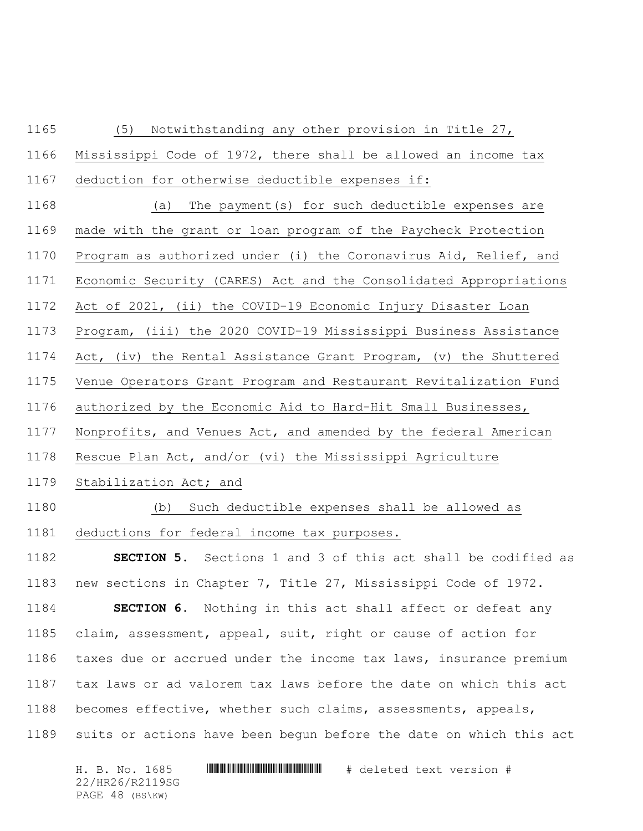#### (5) Notwithstanding any other provision in Title 27,

Mississippi Code of 1972, there shall be allowed an income tax

deduction for otherwise deductible expenses if:

(a) The payment(s) for such deductible expenses are

made with the grant or loan program of the Paycheck Protection

Program as authorized under (i) the Coronavirus Aid, Relief, and

Economic Security (CARES) Act and the Consolidated Appropriations

Act of 2021, (ii) the COVID-19 Economic Injury Disaster Loan

Program, (iii) the 2020 COVID-19 Mississippi Business Assistance

Act, (iv) the Rental Assistance Grant Program, (v) the Shuttered

Venue Operators Grant Program and Restaurant Revitalization Fund

authorized by the Economic Aid to Hard-Hit Small Businesses,

Nonprofits, and Venues Act, and amended by the federal American

Rescue Plan Act, and/or (vi) the Mississippi Agriculture

Stabilization Act; and

(b) Such deductible expenses shall be allowed as

deductions for federal income tax purposes.

 **SECTION 5.** Sections 1 and 3 of this act shall be codified as new sections in Chapter 7, Title 27, Mississippi Code of 1972. **SECTION 6.** Nothing in this act shall affect or defeat any claim, assessment, appeal, suit, right or cause of action for taxes due or accrued under the income tax laws, insurance premium tax laws or ad valorem tax laws before the date on which this act becomes effective, whether such claims, assessments, appeals, suits or actions have been begun before the date on which this act

H. B. No. 1685 \*HR26/R2119SG\* # deleted text version # 22/HR26/R2119SG PAGE 48 (BS\KW)